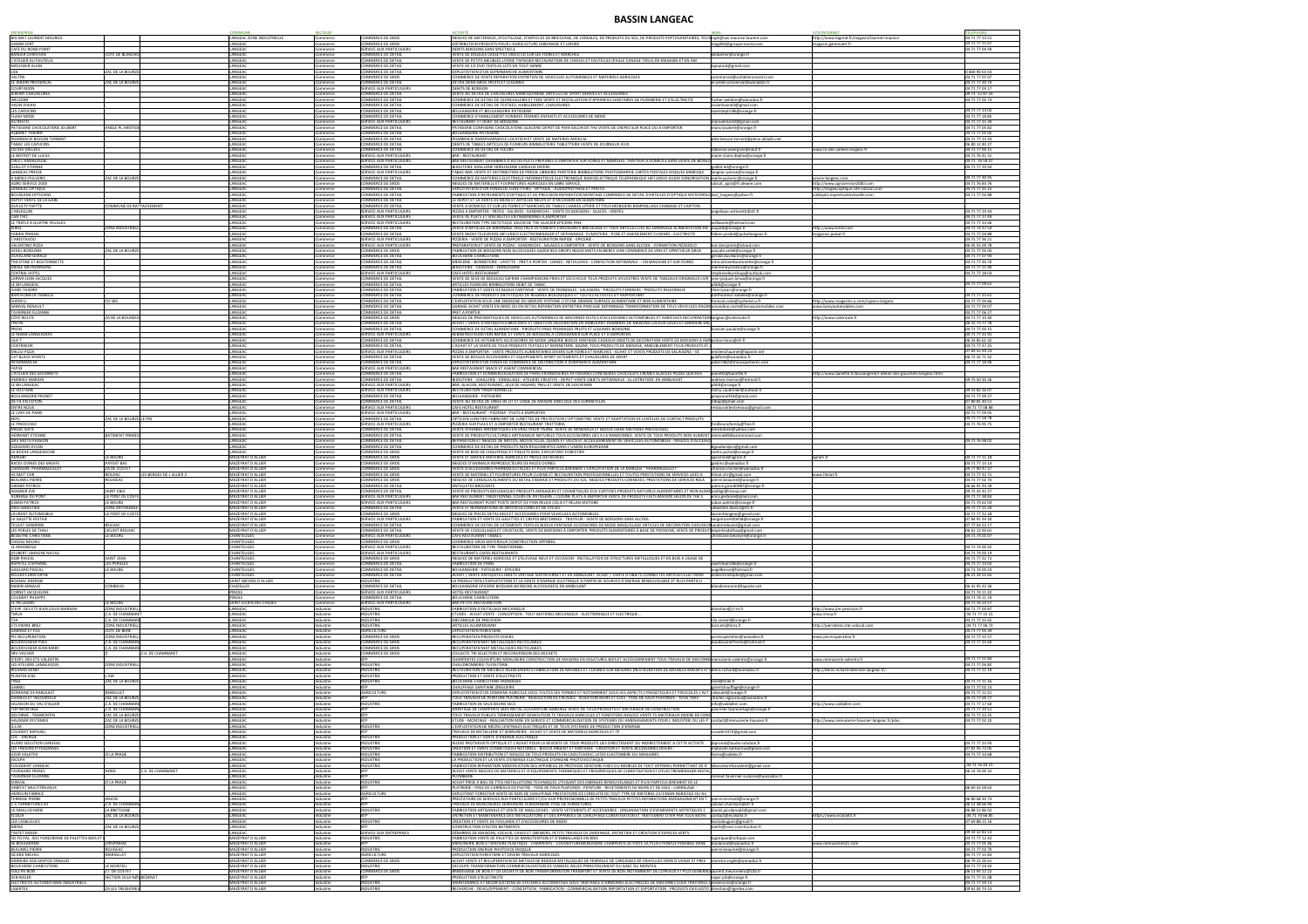## **BASSIN LANGEAC**

| <b>BIG MAT LAURENT MAURICE</b><br>GAMM VERT<br>CAFE DU ROND POINT       |                                                                |                          | LANGEAC ZONE INDUSTRIELLE<br>ANGEAC<br>LANGEAC                     | Commerce<br>Commerce<br>Commerce    | COMMERCE DE GROS<br>OMMERCE DE GROS<br>SERVICE AUX PARTICULIERS                                 | NEGOCE DE MATERIAUX, D'OUTILLAGE, D'ARTICLES DE BRICOLAGE, DE CEREALES, DE PRODUITS DU SOL, DE PRODUITS PHYTOSANITAIRES, TOUS raph@sas-maurice-laurent.com<br>DISTRIBUTION PRODUITS POUR L'AGRICULTURE JARDINAGE ET LOISIRS<br>DEBITS BOISSONS SANS SPECTACLE                                                                                                                                       | ag083@groupe-eurea.com                                                                        | http://www.bigmat.fr/magasin/laurent-maurice<br>nagasin.gammvert.fr                                           |
|-------------------------------------------------------------------------|----------------------------------------------------------------|--------------------------|--------------------------------------------------------------------|-------------------------------------|-------------------------------------------------------------------------------------------------|-----------------------------------------------------------------------------------------------------------------------------------------------------------------------------------------------------------------------------------------------------------------------------------------------------------------------------------------------------------------------------------------------------|-----------------------------------------------------------------------------------------------|---------------------------------------------------------------------------------------------------------------|
| <b>BARLIER CHRISTIAN</b><br>L'ATELIER DU FAUTEUII                       | OTE DE BLANCH                                                  |                          | LANGEAC<br>ANGEAC<br>LANGEAC                                       | Commerce<br>Commerce                | <b>COMMERCE DE DETAIL</b><br>COMMERCE DE DETAIL                                                 | VENTE DE DISQUES CASSETTES VIDEO CD SUR LES FOIRES ET MARCHES<br>VENTE DE PETITS MEUBLES LITERIE TAPISSIER RESTAURATION DE CHAISES ET FAUTEUILS (PAILLE CANAGE TISSU) EN MAGASIN ET EN AM                                                                                                                                                                                                           | kikibarlier@orange.fr                                                                         |                                                                                                               |
| <b>MOUSSIER ALAIN</b><br>LIDL<br>VALTRA                                 | AC DE LA BOURZ                                                 |                          | LANGEAC<br>LANGEAC                                                 | Commerce<br>Commerce<br>Commerce    | COMMERCE DE DETAIL<br>COMMERCE DE DETAIL<br>COMMERCE DE GROS                                    | VENTE DE CD DVD TEXTILES LOTS EN TOUT GENRE<br>EXPLOITATION D'UN SUPERMARCHE ALIMENTAIRE<br>COMMERCE DE VENTE REPARATION ENTRETIEN DE VEHICULES AUTOMOBILES ET MATERIELS AGRICOLES                                                                                                                                                                                                                  | npoulard@gmail.com<br>ommercial@sarldelorvincent.com                                          |                                                                                                               |
| LE JARDIN PROVENCAL<br>COURTADON                                        | ZAC DE LA BOURZ                                                |                          | LANGEAC<br>LANGEAC                                                 | Commerce<br>Commerce                | <b>COMMERCE DE DETAIL</b><br><b>SERVICE AUX PARTICULIERS</b>                                    | DETAIL DEMI-GROS FRUITS ET LEGUMES<br><b>DEBITS DE BOISSON</b>                                                                                                                                                                                                                                                                                                                                      | -jardin-provencal@wanadoo.fr                                                                  |                                                                                                               |
| JEREMY CHAUSSURES<br>WELDOM<br>HAON VIVIAN                              |                                                                |                          | LANGEAC<br>ANGEAC<br>LANGEAC                                       | Commerce<br>ommerce<br>Commerce     | COMMERCE DE DETAIL<br>COMMERCE DE DETAIL<br>COMMERCE DE DETAIL                                  | VENTE AU DETAIL DE CHAUSSURES MAROQUINERIE ARTICLES DE SPORT DERIVES ET ACCESSOIRES<br>COMMERCE DE DETAIL DE QUINCAILLERIE ET FERS VENTE ET INSTALLATION D'APPAREILS SANITAIRES DE PLOMBERIE ET D'ELECTRICITE<br>COMMERCE DE DÉTAIL DE TEXTILES, HABILLEMENT, CHAUSSURES                                                                                                                            | stier.weldom@wanadoo.fr<br>ivianhaon43@gmail.com                                              |                                                                                                               |
| <b>LES CAPUCINS</b><br><b>FLASH MODE</b>                                |                                                                |                          | LANGEAC<br>ANGEAC                                                  | Commerce<br>Commerce                | <b>COMMERCE DE DETAIL</b><br>COMMERCE DE DETAIL                                                 | <b>BOULANGERIE ET BOULANGERIE-PATISSERIE</b><br>COMMERCE D'HABILLEMENT HOMMES FEMMES ENFANTS ET ACCESSOIRES DE MODE                                                                                                                                                                                                                                                                                 | saetsteph186@orange.fr                                                                        |                                                                                                               |
| AU RESTO<br>PATISSERIE CHOCOLATERIE JOUBERT                             | MGLE PL ARISTID                                                |                          | LANGEAC<br>ANGEAC                                                  | Commerce<br>Commerce                | SERVICE AUX PARTICULIERS<br>COMMERCE DE DETAIL                                                  | RESTAURANT ET DEBIT DE BOISSONS<br>PATISSERIE CONFISERIE CHOCOLATERIE GLACERIE DEPOT DE PAIN SALON DE THE VENTE DE CREPES SUR PLACE OU A EMPORTER                                                                                                                                                                                                                                                   | nanuelmarlot@gmail.com<br>nanu-joubert@orange.fr                                              |                                                                                                               |
| ALBARET THIERRY<br>PHARMACIE BESSON TORRENT<br>TABAC LES CAPUCINS       |                                                                |                          | ANGEAC<br>LANGEAC<br>LANGEAC                                       | Commerce<br>Commerce<br>Commerce    | COMMERCE DE DETAIL<br><b>COMMERCE DE DETAIL</b><br><b>COMMERCE DE DETAIL</b>                    | <b>BOULANGERIE-PATISSERIE</b><br>PHARMACIE PARAPHARMACIE LOCATION ET VENTE DE MATERIEL MEDICAL<br>DEBITS DE TABACS ARTICLES DE FUMEURS BIMBELOTERIE TABLETTERIE VENTE DE JOURNAUX JEUX                                                                                                                                                                                                              | hie.besson-torrent@perso.alliadis.net                                                         |                                                                                                               |
| LIS DES VALLEES<br>LE BISTROT DE LUCAS                                  |                                                                |                          | LANGEAC<br>ANGEAC                                                  | Commerce<br>ommerce                 | COMMERCE DE DETAIL<br>SERVICE AUX PARTICULIERS                                                  | COMMERCE DE DETAIL DE FLEURS<br><b>BAR - RESTAURANT</b>                                                                                                                                                                                                                                                                                                                                             | abienne.alvergnas@neuf.fr<br>narie-claire.dephix@orange.fr                                    | www.lis-des-vallees-langeac.fr                                                                                |
| CHEZ L'ANDALOUSE<br><b>GUILLOT ETIENNE</b>                              |                                                                |                          | LANGEAC<br>LANGEAC                                                 | Commerce<br>Commerce                | <b>SERVICE AUX PARTICULIERS</b><br><b>COMMERCE DE DETAIL</b>                                    | BAR RESTAURANT CHAMBRES D'HÔTES PLATS PRÉPARÉS À EMPORTER SUR FOIRES ET MARCHÉS. TRAITEUR À DOMICILE SANS VENTE DE BOISS<br><b>BIJOUTERIE JOAILLERIE HORLOGERIE CADEAUX DIVERS</b>                                                                                                                                                                                                                  | uillot.eti@orange.fr                                                                          |                                                                                                               |
| <b>LANGEAC PRESSE</b><br>A MERLE-PULVERIC                               | AC DE LA BOURZI                                                |                          | ANGEAC<br>LANGEAC<br>LANGEAC                                       | Commerce<br>Commerce                | <b>SERVICE AUX PARTICULIERS</b><br>COMMERCE DE DETAIL                                           | TABAC BAR. VENTE ET DISTRIBUTION DE PRESSE LIBRAIRIE PAPETERIE BIMBELOTERIE PHOTOGRAPHIE CARTES POSTALES DISQUES MAROQUI<br>COMMERCE DE MATERIELS ELECTRIQUE INFORMATIQUE ELECTRONIQUE RADIOELECTRIQUE TELEPHONIQUE HIFI VIDEO AUDIO SONORISATION<br>NEGOCE DE MATERIELS ET FOURNITURES AGRICOLES EN LIBRE SERVICE                                                                                  | ngeac-presse@orange.fr<br>nerle-pulveric@orange.fr                                            | procie-langeac.com                                                                                            |
| AGRO SERVICE 2000<br>LANGEAC OPTIQUE<br><b>BOUSSAND OPTICIENS</b>       |                                                                |                          | LANGEAC<br>LANGEAC                                                 | Commerce<br>Commerce<br>Commerce    | COMMERCE DE GROS<br><b>COMMERCE DE DETAIL</b><br><b>COMMERCE DE DETAIL</b>                      | EXPLOITATION D'UN FONDS DE LUNETTERIE - OPTIQUE - AUDIOPROTHESE ET PHOTO.<br>FABRICATION D'INTRUMENTS D'OPTIQUE ET DE PRECISION REPARATION MONTAGE COMMERCE DE DETAIL D'ARTICLES D'OPTIQUE METEOROLO atol langeac@yahoo.fr                                                                                                                                                                          | alzuit_agro@fr.oleane.com                                                                     | http://www.agroservice2000.com<br>http://langeacoptique.site-solocal.com<br>valdoptic.expertsantevisuelle.com |
| DEPOT VENTE DE LA GARE<br>DUCULTY YVETTE                                | OMMUNE DE RATTACHEMENT:                                        |                          | LANGEAC<br>ANGEAC                                                  | Commerce<br>Commerce                | COMMERCE DE DETAIL<br>COMMERCE DE DETAIL                                                        | LE DEPOT ET LA VENTE DE BIENS ET ARTICLES NEUFS ET D'OCCASION EN SEDENTAIRE<br>VENTE A DOMICILE ET SUR LES FOIRES ET MARCHES DE TABLES CHAISES LITERIE ET TOUS MOBILIERS REMPAILLAGE CANNAGE ET CAPITON                                                                                                                                                                                             |                                                                                               |                                                                                                               |
| L'ARLEQUIN<br>CAN THO                                                   |                                                                |                          | ANGEAC<br>LANGEAC                                                  | ommerce<br>Commerce                 | SERVICE AUX PARTICULIERS<br>SERVICE AUX PARTICULIERS                                            | PIZZAS A EMPORTER - FRITES - SALADES - SANDWICHS - VENTE DE BOISSONS - GLACES - CREPES<br>VENTE DE PLATS ET SPECIALITES VIETNAMIENNES A EMPORTER                                                                                                                                                                                                                                                    | gelique.vettoretti@sfr.fr                                                                     |                                                                                                               |
| LE TREFLE A QUATRE FEUILLES<br>KIRIEL<br>FABIEN PRADAL                  | ONE INDUSTRIE                                                  |                          | LANGEAC<br>ANGEAC<br>LANGEAC                                       | Commerce<br>Commerce<br>Commerce    | SERVICE AUX PARTICULIERS<br>COMMERCE DE DETAIL<br>COMMERCE DE DETAIL                            | RESTAURATION TYPE DIETETIQUE SALON DE THE GLACIER EPICERIE FINE<br>VENTE D'ARTICLES DE JARDINAGE VEGETAUX VETEMENTS CHAUSSANTS BRICOLAGE ET TOUS ARTICLES LIES AU JARDINAGE ALIMENTATION AN<br>VENTE RADIO TELEVISION HIFI VIDEO ELECTROMENAGER ET DEPANNAGE- FUMISTERIE - POSE ET AGENCEMENT CUISINES - ELECTRICITE                                                                                | villiaume@hotmail.com<br>ujardi@orange.fr<br>fabien.pradal@pulsatlangeac.fr                   | nttp://www.kiriel.com<br>magasins.pulsat.fr                                                                   |
| L'ARESTAVOU<br>VALENTINO PIZZA                                          |                                                                |                          | LANGEAC<br>ANGEAC                                                  | Commerce<br>Commerce                | SERVICE AUX PARTICULIERS<br><b>SERVICE AUX PARTICULIERS</b>                                     | PIZZERIA - VENTE DE PIZZAS A EMPORTER - RESTAURATION RAPIDE - EPICERIE<br>PREPARATION ET VENTE DE PIZZAS - SANDWICHS - SALADES A EMPORTER - VENTE DE BOISSONS SANS ALCOOL - FORMATION PIZZAIOLO                                                                                                                                                                                                     | bon.benjamin@icloud.com                                                                       |                                                                                                               |
| <b>VEDEL BOISSONS</b><br>DUVILLARD GERALD                               | ZAC DE LA BOURZI                                               |                          | LANGEAC<br>LANGEAC                                                 | Commerce<br>Commerce                | COMMERCE DE GROS<br>COMMERCE DE DETAIL                                                          | FABRICATION DE BOISSONS NON ALCOOLISEES GAZEIFIEES SIROPS NEGOCIANTS EN BIERES VINS COMMERCE DE VINS ET SPIRITUEUX GROS<br><b>BOUCHERIE CHARCUTERIE</b>                                                                                                                                                                                                                                             | ascale.vedel@orange.fr<br>erald.duvillard1@orange.fr                                          |                                                                                                               |
| TRICOTINE ET BOUTONNETTE<br>MERLE MEYRONNEINC<br>CENTRAL HOTEL          |                                                                |                          | LANGEAC<br>ANGEAC<br>ANGEAC                                        | Commerce<br>Commerce<br>Commerce    | COMMERCE DE DETAIL<br>COMMERCE DE DETAIL<br><b>SERVICE AUX PARTICULIERS</b>                     | MERCERIE - BONNETERIE - LAYETTE - PRET A PORTER - LAINES - RETOUCHES - CONFECTION ARTISANALE -- EN MAGASIN ET SUR FOIRES<br>BIJOUTERIE - CADEAUX - HORLOGERIE<br><b>CAFE HOTEL RESTAURANT</b>                                                                                                                                                                                                       | ntricotineetboutonette@orange.fr<br>erlemeyroneinc@orange.fr<br>stephanelevreloup@outlook.com |                                                                                                               |
| LARWA JEAN-JACQUES<br>LE BH LANGEAC                                     |                                                                |                          | ANGEAC<br>ANGEAC                                                   | Commerce<br>Commerce                | <b>COMMERCE DE DETAIL</b><br>COMMERCE DE DETAIL                                                 | VENTE DE SEVE DE BOULEAU SAFRAN CHAMPIGNONS FRAIS ET SECS HOUX TOUS PRODUITS SYLVESTRES VENTE DE TABLEAUX ORIGINAUX LIVR Jean-jacques.larwa@orange.fr<br>ARTICLES FUMEURS BIMBELOTERIE DEBIT DE TABAC                                                                                                                                                                                               | hbh@orange.fr                                                                                 |                                                                                                               |
| IVARS THIERRY<br><b>BARTHOMEUF ISABELLE</b>                             |                                                                |                          | ANGEAC<br>LANGEAC                                                  | Commerce<br>Commerce                | COMMERCE DE DETAIL<br><b>COMMERCE DE DETAIL</b>                                                 | FABRICATION ET VENTE DE BIJOUX FANTAISIE - VENTE DE FROMAGES - SALAISONS - PRODUITS FERMIERS - PRODUITS REGIONAUX<br>COMMERCE DE PRODUITS DIETETIQUES DE REGIMES BIOLOGIQUES ET TOUTES ACTIVITES S'Y RAPPORTANT                                                                                                                                                                                     | nierryivars@orange.fr<br>arthomeuf.isabelle@orange.fr                                         |                                                                                                               |
| SUPER U<br>SAMVAL RENAULT<br>TAVERNIER SUZANNE                          | CD 585                                                         |                          | LANGEAC<br>LANGEAC<br>LANGEAC                                      | Commerce<br>Commerce<br>Commerce    | <b>COMMERCE DE DETAIL</b><br>COMMERCE DE DETAIL<br>COMMERCE DE DETAIL                           | L'EXPLOITATION SOUS UNE ENSEIGNE DU GROUPE SYSTEME U D'UNE GRANDE SURFACE ALIMENTAIRE ET NON ALIMENTAIRE<br>GARAGE ACHAT VENTE EN GROS OU EN DETAIL REPARATION ENTRETIEN PARCAGE DEPANNAGE TRANSFORMATION DE TOUS VEHICULES ENGIN amandine.coste@bonyautomobiles.com<br><b>PRET A PORTER</b>                                                                                                        | rancois.calvi@systeme-u.fr                                                                    | http://www.magasins-u.com/superu-langeac<br>www.bonyautomobiles.com                                           |
| cóté route<br><b>TINTIN</b>                                             | ZA DE LA BOURZE                                                |                          | LANGEAC<br>ANGEAC                                                  | Commerce<br>Commerce                | COMMERCE DE GROS<br><b>COMMERCE DE DETAIL</b>                                                   | NEGOCE DE PNEUMATIQUES DE VEHICULES AUTOMOBILES DE MACHINES-OUTILS D'ACCESSOIRES AUTOMOBILES ET AGRICOLES RECUPERATION langeac@coteroute.fr<br>ACHAT / VENTE D'ANTIQUITES BROCANTE ET OBJETS DE DECORATION EN AMBULANT DEBARRAS DE MAISONS LOCAUX CAVES ET GRENIERS EI                                                                                                                              |                                                                                               | http://www.coteroute.fr                                                                                       |
| PROXI<br>LE KEBAB LANGEADOIS                                            |                                                                |                          | LANGEAC<br>LANGEAC                                                 | Commerce<br>Commerce                | <b>COMMERCE DE DETAIL</b><br>SERVICE AUX PARTICULIERS                                           | COMMERCE DE DETAIL ALIMENTAIRE : PRODUITS FRAIS FROMAGES FRUITS ET LEGUMES BOISSONS.<br>KEBAB RESTAURATION RAPIDE ET VENTE DE BOISSONS A CONSOMMER SUR PLACE ET A EMPORTER.                                                                                                                                                                                                                         | rassier.pauline@orange.fr                                                                     |                                                                                                               |
| LILA T<br>CENTRAKOR<br>MILOU PIZZA                                      |                                                                |                          | ANGEAC<br>LANGEAC<br>LANGEAC                                       | Commerce<br>Commerce<br>Commerce    | COMMERCE DE DETAIL<br>COMMERCE DE DETAIL<br>SERVICE AUX PARTICULIERS                            | COMMERCE DE VETEMENTS ACCESSOIRES DE MODE LINGERIE BIJOUX FANTAISIE CADEAUX OBJETS DE DECORATION VENTE DE BOISSONS A EMI¶pichon-brun@sfr.fr<br>L'ACHAT ET LA VENTE DE TOUS PRODUITS TEXTILES ET BONNETERIE, BAZAR, TOUS PRODUITS DE MENAGE, AMEUBLEMENT TOUS PRODUITS E<br>PIZZAS A EMPORTER - VENTE PRODUITS ALIMENTAIRES DIVERS SUR FOIRES ET MARCHES - ACHAT ET VENTE PRODUITS DE SALAISONS - VE | nilienchaumet@laposte.net                                                                     |                                                                                                               |
| <b>CAT BLACK SPORTS</b><br>INTERMARCHE                                  |                                                                |                          | LANGEAC<br>ANGEAC                                                  | Commerce<br>Commerce                | <b>COMMERCE DE DETAIL</b><br>COMMERCE DE DETAIL                                                 | VENTE DE BOULES ACCESSOIRES ET EQUIPEMENTS SPORT VETEMENTS ET CHAUSSURES DE SPORT<br>EXPLOITATION D'UN FONDS DE COMMERCE DE DISTRIBUTION A DOMINANTE ALIMENTAIRE                                                                                                                                                                                                                                    | ulafont@wanadoo.fr<br>dv07482@mousquetaires.com                                               |                                                                                                               |
| FAP43<br>L'ATELIER DES GOURMETS                                         |                                                                |                          | LANGEAC<br>LANGEAC                                                 | Commerce<br>Commerce                | SERVICE AUX PARTICULIERS<br>COMMERCE DE DETAIL                                                  | BAR RESTAURANT SNACK ET AGENT COMMERCIAL<br>FABRICATION ET COMMERCIALISATION DE PAINS VIENNOISERIES PATISSERIES CONFISERIES CHOCOLATS CREMES GLACEES PIZZAS QUICHES                                                                                                                                                                                                                                 | anette@banette.fr                                                                             | http://www.banette.fr/boulangerie/l-atelier-des-gourmets-langeac.htm                                          |
| <b>ANDRIEU MARION</b><br>LE BH LANGEAC<br>LE VOLTAIRE                   |                                                                |                          | ANGEAC<br>LANGEAC<br>LANGEAC                                       | Commerce<br>Commerce<br>Commerce    | <b>COMMERCE DE DETAIL</b><br><b>SERVICE AUX PARTICULIERS</b><br><b>SERVICE AUX PARTICULIERS</b> | BIJOUTERIE - JOAILLERIE - EMAILLAGE - ATELIERS CREATIFS - DEPOT-VENTE OBJETS ARTISANAUX - ILLUSTRATION EN AMBUALNT<br>BAR, GLACIER, RESTAURANT, JEUX DE HASARD, PMU ET VENTE DE SOUVENIRS<br>RESTAURATION TRADITIONNELLE                                                                                                                                                                            | ndrieu-marion@hotmail.fı<br>ohbh@orange.fr<br>≀nny.caudrelier@outlook.fr                      |                                                                                                               |
| BOULANGERIE PRUNET<br>de fil en coton                                   |                                                                |                          | ANGEAC<br>LANGEAC                                                  | Commerce<br>Commerce                | COMMERCE DE DETAIL<br>COMMERCE DE DETAIL                                                        | BOULANGERIE - PATISSERIE<br>VENTE AU DÉTAIL DE LINGE DE LIT ET LINGE DE MAISON AINSI QUE DES SURMATELAS                                                                                                                                                                                                                                                                                             | oprunet43@gmail.com؛<br>dipp@gmail.com                                                        |                                                                                                               |
| ENTRE NOUS<br>LE CAFE DE PARIS                                          |                                                                |                          | LANGEAC<br>LANGEAC                                                 | Commerce<br>Commerce                | <b>SERVICE AUX PARTICULIERS</b><br><b>SERVICE AUX PARTICULIERS</b>                              | <b>CAFE HOTEL RESTAURANT</b><br>BAR - RESTAURANT - PIZZERIA - PLATS A EMPORTER                                                                                                                                                                                                                                                                                                                      | estaurantentrenous@gmail.com                                                                  |                                                                                                               |
| <b>KRYS</b><br>LE PINOCCHIO                                             | AC DE LA BOURZE∎LE PIN                                         |                          | ANGEAC<br>LANGEAC<br>LANGEAC                                       | Commerce<br>Commerce                | COMMERCE DE DETAIL<br>SERVICE AUX PARTICULIERS<br>COMMERCE DE DETAIL                            | OPTICIEN LUNETIER FABRICANT DE LUNETTES DE PROTECTION L'OPTOMETRIE VENTE ET ADAPTATION DE LENTILLES DE CONTACT PRODUITS<br>PIZZERIA SUR PLACE ET A EMPORTER RESTAURANT TRATTORIA<br>VENTE D'HERBES AROMATIQUES EN VRAC POUR TISANE. VENTE DE MINERAUX ET BIJOUX (SANS MATIERES PRECIEUSES).                                                                                                         | edbrunofamily@free.fr                                                                         |                                                                                                               |
| MAGIC GATE<br><b>HERMANT ETIENNE</b><br>DAV MOTO PASSION                | <b>BATIMENT PRIMI</b>                                          |                          | ANGEAC<br>LANGEAC                                                  | Commerce<br>Commerce<br>Commerce    | <b>COMMERCE DE DETAIL</b><br>COMMERCE DE DETAIL                                                 | VENTE DE PRODUITS CULTURELS ARTISANAUX NATURELS TOUS ACCESSOIRES LIES A LA RANDONNEE. VENTE DE TOUS PRODUITS NON ALIMENT etienne89@protonmail.cor<br>REPARATION ET NEGOCE DE MOTOS, MOTOCYCLES, QUADS ET VELOS ET ACCESSOIREMENT DE VEHICULES AUTOMOBILES - NEGOCE D'ACCES                                                                                                                          | enstoinski@yahoo.com                                                                          |                                                                                                               |
| GOUDARD DYLAN<br>LA BUCHE LANGEADOISE                                   |                                                                |                          | LANGEAC<br>ANGEAC                                                  | Commerce<br>Commerce                | COMMERCE DE DETAIL<br>COMMERCE DE GROS                                                          | COMMERCE DE DETAIL DE PRODUITS NON REGLEMENTES DANS L'UNION EUROPEENNI<br>VENTE DE BOIS DE CHAUFFAGE ET PIQUETS BOIS, EXPLOITANT FORESTIER                                                                                                                                                                                                                                                          | goudardpro@gmail.com<br>edric.portal@orange.fr                                                |                                                                                                               |
| AMAGRI<br>RACES OVINES DES MASIFS<br><b>CHANSON- PHARMALEGLOT</b>       | E BOURG.<br>PAYSAT BAS<br>ZA DE COSTET                         |                          | MAZEYRAT D ALLIER<br><b>MAZEYRAT D ALLIER</b><br>MAZEYRAT D ALLIER | Commerce<br>Commerce<br>Commerce    | <b>COMMERCE DE GROS</b><br><b>COMMERCE DE GROS</b><br>COMMERCE DE GROS                          | VENTE ET SERVICE MATERIEL AGRICOLE ET PIECES DETACHEES<br>NEGOCE D'ANIMAUX REPRODUCTEURS DE RACES OVINES<br>"VENTE D'ACCESSOIRES PHARMACEUTIQUES ET PLUS PARTICULIEREMENT L'EXPLOITATION DE LA MARQUE " PHARMALEGLOT                                                                                                                                                                                | agram43@agram.fr<br>riebmc@wanadoo.fr<br>:hanson.michel@wanadoo.fr                            | agram.fr                                                                                                      |
| HL MAT' CHR<br>BEAUMEL PIERRE                                           | REILHAC<br>ROUGEAC                                             | ES BERGES DE L ALLIER 2. | AAZEYRAT D ALLIER<br>MAZEYRAT D ALLIER                             | Commerce<br>Commerce                | COMMERCE DE GROS<br>COMMERCE DE GROS                                                            | VENTE DE MATERIEL ET FOURNITURES POUR CUISINE ET RESTAURATION PROFESSIONNELLES ET TOUTES PRESTATIONS DE SERVICES LIEES A<br>NEGOCE DE CEREALES ALIMENTS DU BETAIL ENGRAIS ET PRODUITS DU SOL. NEGOCE PRODUITS CONNEXES. PRESTATIONS DE SERVICES RELA                                                                                                                                                | mat.chr@gmail.com<br>erre.beaumel@orange.tr                                                   | www.hlmat.fr                                                                                                  |
| <b>GIRARD PATRICE</b><br>WAGNER EVE                                     | AINT EBLE                                                      |                          | MAZEYRAT D ALLIER<br>MAZEYRAT D ALLIER                             | Commerce<br>Commerce                | <b>COMMERCE DE DETAIL</b><br><b>COMMERCE DE DETAIL</b>                                          | <b>ANTIQUITES BROCANTE</b><br>VENTE DE PRODUITS BIOLOGIQUES PRODUITS MENAGERS ET COSMETIQUES ECO-CERTIFIES PRODUITS NATURELS ALIMENTAIRES ET NON ALIME biolibgl@riseup.net                                                                                                                                                                                                                          | atrice.girard0987@orange.fr                                                                   |                                                                                                               |
| AUBERGE DU PONT<br>JUBAN PATRICK                                        | E PONT DE COST<br>E BOURG                                      |                          | MAZEYRAT D ALLIER<br>MAZEYRAT D ALLIER                             | Commerce<br>Commerce                | <b>SERVICE AUX PARTICULIERS</b><br>SERVICE AUX PARTICULIERS                                     | BAR RESTAURANT TRADITIONNEL COURS DE PATISSERIE / CUISINE PLATS A EMPORTER VENTE DE PRODUITS FAITS MAISON SALON DE THE S<br>BAR RESTAURANT POINT POSTE DEPOT DE PAIN RELAIS COLIS ET RELAIS MOTARD                                                                                                                                                                                                  | rica.gerbore@gmail.com<br>iban.patrick@orange.fr                                              |                                                                                                               |
| DIAS SEBASTIEN<br>LAURENT AUTOMOBIL<br>LA GALETTE FESTIVE               | ONE ARTISANAL!<br>E PONT DE COST                               |                          | MAZEYRAT D ALLIER<br>MAZEYRAT D ALLIER<br>MAZEYRAT D'ALLIER        | Commerce<br>Commerce<br>Commerce    | COMMERCE DE DETAIL<br><b>COMMERCE DE GROS</b><br><b>SERVICE AUX PARTICULIERS</b>                | VENTE ET REPARARTIONS DE MOTOCULTURES ET DE CYCLES<br>NEGOCE DE PIECES DETACHEES ET ACCESSOIRES POUR VEHICULES AUTOMOBILES<br>FABRICATION ET VENTE DE GALETTES ET CREPES BRETONNES - TRAITEUR - VENTE DE BOISSONS SANS ALCOOL                                                                                                                                                                       | ebastien.dias12@sfr.fr<br>laurentlangeac@gmail.com<br>ergemoretti0458@orange.fr               |                                                                                                               |
| TEULAT SANDRINE<br>LES PERLES DE THAU                                   | REILHAC<br>EUDIT REILHAC                                       |                          | MAZEYRAT D'ALLIER<br>MAZEYRAT D'ALLIER                             | Commerce<br>Commerce                | COMMERCE DE DETAIL<br>COMMERCE DE DETAIL                                                        | COMMERCE DE DETAIL DE VETEMENTS TEXTILES BIJOUX FANTAISIE ACCESSOIRES DE MODE MAQUILLAGE ARTICLES DE DECORATION CHAUSSURsandrineteulat@gmail.com<br>VENTE DE COQUILLAGES ET CRUSTACES, VENTE DE BOISSONS A EMPORTER, PRODUITS ALIMENTAIRES A BASE DE POISSONS, VENTE DE PRODUITIesperiesdethau@gmail.com                                                                                            |                                                                                               |                                                                                                               |
| BESSEYRE CHRISTIANI<br>CHAZAL MICHEL<br>LE MAGNIOLA                     | E BOURG I                                                      |                          | :HANTEUGES<br>:HANTEUGES<br><b>HANTEUGES</b>                       | Commerce<br>Commerce<br>Commerce    | SERVICE AUX PARTICULIERS<br><b>COMMERCE DE GROS</b><br><b>SERVICE AUX PARTICULIERS</b>          | <b>CAFE RESTAURANT TABACS</b><br>COMMERCE GROS MATERIAUX CONSTRUCTION APPAREIL<br><b>RESTAURATION DE TYPE TRADITIONNEI</b>                                                                                                                                                                                                                                                                          | hristiane.besseyre@orange.fr                                                                  |                                                                                                               |
| JOUBERT-LIMAGNE NICOLE<br>AGRI PASCAL                                   | SAINT JEAN                                                     |                          | CHANTEUGES<br>CHANTEUGES                                           | Commerce<br>Commerce                | SERVICE AUX PARTICULIERS<br>COMMERCE DE GROS                                                    | RESTAURANTS CAFES-RESTAURANTS<br>NEGOCE DE MATERIEL AGRICOLE ET D'ELEVAGE NEUF ET OCCASION - INSTALLATION DE STRUCTURES METALLIQUES ET EN BOIS A USAGE DE                                                                                                                                                                                                                                           |                                                                                               |                                                                                                               |
| RAPATEL STEPHANE<br><b>GAILLARD PASCAL</b>                              | ES PERILLES<br>E BOURG                                         |                          | :HANTEUGES<br>CHANTEUGES                                           | Commerce<br>Commerce                | COMMERCE DE DETAIL<br><b>COMMERCE DE DETAIL</b>                                                 | FABRICATION DE PAINS<br><b>BOULANGERIE - PATISSERIE - EPICERIE</b>                                                                                                                                                                                                                                                                                                                                  | aetsteph186@orange.fr<br>ngelbesse@hotmail.fr                                                 |                                                                                                               |
| <b>KOLLER CHRISTOPHE</b><br>ROGNAC ENERGIE<br>MARIN ARNAUD              | :OMBEUIL                                                       |                          | CHANTEUGES<br>AINT ARCONS D ALLIER<br>CHAZELLES                    | Commerce<br>Commerce<br>Commerce    | <b>COMMERCE DE DETAIL</b><br>INDUSTRIE<br><b>COMMERCE DE DETAIL</b>                             | ACHAT / VENTE ANTIQUITES OBJETS VINTAGE SUR INTERNET ET EN AMBULANT. ACHAT / VENTE D'OBJETS CONNECTES ARTICLES ELECTRONI<br>LA PRODUCTION L'EXPLOITATION ET LA VENTE D'ENERGIE ELECTRIQUE A PARTIR DE SOURCES D'ENERGIE RENOUVELABLE ET PLUS PARTICU<br>BOULANGERIE EPICERIE BIO(SANS BOISSONS ALCOOLISEES) EN AMBULANT                                                                             | kollerchristophe@gmail.com                                                                    |                                                                                                               |
| CORNET JACQUELINE<br><b>COUDERT PHILIPPE</b>                            |                                                                |                          | <b>INOLS</b><br>PINOLS                                             | Commerce<br>Commerce                | SERVICE AUX PARTICULIERS<br><b>COMMERCE DE DETAIL</b>                                           | <b>HOTEL RESTAURANT</b><br><b>BOUCHERIE CHARCUTERIE</b>                                                                                                                                                                                                                                                                                                                                             | landinemarin@laposte.net                                                                      |                                                                                                               |
| LE PELLEGRIS<br>D'EXP. DES ETS JEAN LOUIS MARSEIN                       | e Bourg<br>ZONE INDUSTRIELI                                    |                          | AINT JULIEN DES CHAZES<br>LANGEAC                                  | Commerce<br>Industrie               | <b>SERVICE AUX PARTICULIERS</b><br><b>INDUSTRIE</b>                                             | <b>BAR PETITE RESTAURATION</b><br><b>FABRICATION D'OUTILLAGE MECANIQUE</b>                                                                                                                                                                                                                                                                                                                          | irection@j-l-m.fr                                                                             | http://www.jlm-precision.fr                                                                                   |
| TMUA<br>T2A<br>ETS PIERRE BREZ                                          | Z.A. DE CHAMBARET<br><b>Z.A. DE CHAMBAF</b><br>ZONE INDUSTRIEL |                          | LANGEAC<br>ANGEAC<br>LANGEAC                                       | Industrie<br>Industrie<br>Industrie | <b>INDUSTRIE</b><br><b>INDUSTRIE</b><br><b>INDUSTRIE</b>                                        | ETUDES - ACHAT VENTE - CONCEPTION : TOUT MATERIEL MECANIQUE - ELECTRONIQUE ET ELECTRIQUE<br>MECANIQUE DE PRECISION<br><b>ARTICLES ALUMINIUMM</b>                                                                                                                                                                                                                                                    | 2a.conseil@orange.fr<br>rez.ets@brez.fr                                                       | www.tmua.fr<br>http://pierrebrez.site-solocal.com                                                             |
| <b>GARAND ET FILS</b><br>PIC RECUPERATION                               | OTE DE BURE<br>ZONE INDUSTRIEL                                 |                          | LANGEAC<br>LANGEAC                                                 | Industrie<br>Industrie              | <b>AGRICULTURE</b><br>COMMERCE DE GROS                                                          | <b>EXPLOITATION FORESTIERE</b><br>RECUPERATION PRODUITS DIVERS                                                                                                                                                                                                                                                                                                                                      | crecuperation@wanadoo.fi                                                                      | www.picrecuperation.fr                                                                                        |
| <b>BOUDOUSSIER YVES</b><br><b>BOUDOUSSIER JEAN-MARC</b>                 | Z.A. DE CHAMBAI<br>Z.A. DE CHAMBAI                             |                          | LANGEAC<br>LANGEAC                                                 | Industrie<br>Industrie              | <b>COMMERCE DE GROS</b><br><b>COMMERCE DE GROS</b>                                              | <b>RECUPERATION MAT METALLIQUES RECYCLABLES</b><br>RECUPERATION MAT METALLIQUES RECYCLABLES                                                                                                                                                                                                                                                                                                         | oudoussierfreres@hotmail.fr                                                                   |                                                                                                               |
| SRV-VACHER<br>D'EXPL. DES ETS VALENTIN<br>LES ATELIERS LANGEADOIS       | ZONE INDUSTRIELI                                               | Z.A. DE CHAMBARET        | LANGEAC<br>ANGEAC<br>LANGEAC                                       | Industrie<br>Industrie<br>Industrie | <b>COMMERCE DE GROS</b><br><b>INDUSTRIE</b>                                                     | COLLECTE TRI SELECTION ET RECONVERSION DES DECHETS<br>CHARPENTES COUVERTURE MENUISERIE CONSTRUCTION DE MAISONS EN OSSATURES BOIS ET ACCESSOIREMENT TOUS TRAVAUX DE MACONNE menuiserie.valentin@orange.fr<br>CHAUDRONNERIE-TUYAUTERIE                                                                                                                                                                |                                                                                               | www.menuiserie-valentin.fr                                                                                    |
| RICHARD DENIS<br>PLANTIN JOEL                                           |                                                                |                          | LANGEAC<br>ANGEAC                                                  | Industrie<br>Industrie              | <b>INDUSTRIE</b><br><b>INDUSTRIE</b>                                                            | RESTAURATION DE MEUBLES AGENCEMENTS FABRICATION DE MEUBLES ET CUISINES SUR MESURES (RESTAURATION DE MEUBLES MASSIFS ET<br>PRODUCTION ET VENTE D'ELECTRICITE                                                                                                                                                                                                                                         | f denis.richard@wanadoo.fr                                                                    | http://denis-richard-ebeniste-langeac.fr/                                                                     |
| TINEL<br>GARREI                                                         | ZAC DE LA BOURZE                                               |                          | LANGEAC<br>LANGEAC                                                 | Industrie<br>Industrie              | <b>INDUSTRIE</b><br>RTP                                                                         | <b>BOUCHERIE CHARCUTERIE FROMAGES</b><br>CHAUFFAGE SANITAIRE ZINGUERIE                                                                                                                                                                                                                                                                                                                              | nel@tinel.fr<br>arrelchauffage@orange.fr                                                      |                                                                                                               |
| DOMAINE DE RABOULET<br>CHARLES ET VIGOUROUX<br>SALAISON DU VAL D'ALLIEF | RABOULET<br>ZAC DE LA BOURZ<br><b>.A. DE CHAMBA</b> I          |                          | LANGEAC<br>LANGEAC<br>LANGEAC                                      | Industrie<br>Industrie<br>Industrie | AGRICULTURE<br><b>RTP</b><br><b>INDUSTRIE</b>                                                   | EXPLOITATION D'UN DOMAINE AGRICOLE SOUS TOUTES SES FORMES ET NOTAMMENT SOUS SES ASPECTS CYNEGETIQUES ET PISCICOLES L'ACT [raboulet@orange.fr<br>TOUS TRAVAUX DE PEINTURE PLATRERIE - REALISATION DE FACADES - ISOLATION MURS ET SOLS - POSE DE FAUX PLAFONDS - TOUS TRAV<br><b>FABRICATION DE SAUCISSONS SECS</b>                                                                                   | harles.vigouroux@wanadoo.fr<br>fo@valdallier.com                                              | http://www.valdallier.com                                                                                     |
| <b>TOP MONTAGE</b><br>DELORME - TRAMONTIN                               | <b>Z.A. DE CHAMBAR</b><br>AC DE LA BOURZ                       |                          | LANGEAC<br>ANGEAC                                                  | Industrie<br>Industrie              | <b>BTP</b><br>BTP                                                                               | MONTAGE DE CHARPENTE BOIS METAL COUVERTURE BARDAGE VENTE DE TOUS PRODUITS ET MATERIAUX DE CONSTRUCTION<br>TOUS TRAVAUX PUBLICS TERRASSEMENT DEMOLITION TS TRAVAUX AGRICOLES ET FORESTIERS NEGOCE VENTE TS MATERIAUX DIVERS DE COI                                                                                                                                                                   | eyrelier.topmontage@orange.fr                                                                 |                                                                                                               |
| <b>HAUSNER SYSTEMES</b><br>G.L.M.                                       | ZAC DE LA BOURZI<br>ZONE INDUSTRIE                             |                          | LANGEAC<br>LANGEAC                                                 | Industrie<br>Industrie              | <b>BTP</b><br><b>INDUSTRIE</b>                                                                  | ETUDE - MONTAGE - REALISATION MISE EN SERVICE ET COMMERCIALISATION DE SYSTEMES OU AMENAGEMENTS POUR L INDUSTRIE OU LES P<br>L'EXPLOITATION DE MICRO CENTRALES ELECTRIQUES ET DE TOUS SYSTEMES DE PRODUCTION D'ENERGIE                                                                                                                                                                               | ontact@menuiserie-hausner.fr                                                                  | http://www.menuiserie-hausner-langeac.fr/plan                                                                 |
| <b>COUDERT RAPHAEL</b><br>LOC - ENERGIE<br>AUDIO SOLUTION LANGEAC       |                                                                |                          | ANGEAC<br>LANGEAC<br>LANGEAC                                       | Industrie<br>Industrie<br>Industrie | <b>INDUSTRIE</b><br><b>INDUSTRIE</b>                                                            | TRAVAUX DE METALLERIE ET SERRURERIE - ACHAT ET VENTE DE MATERIELS AGRICOLES ET TP<br>PRODUCTION ET VENTE D'ENERGIE ELECTRIQUE<br>AUDIO PROTHESISTE OPTIQUE ET L'ACHAT POUR LA REVENTE DE TOUS PRODUITS LIES DIRECTEMENT OU INDIRECTEMENT A CETTE ACTIVITE                                                                                                                                           | oudert374@gmail.com<br>proriol@audio-solution.fr                                              |                                                                                                               |
| LES TRÉSORS D'YGGDRASII<br>AZUR VALATEX                                 | ZI LA PRADE                                                    |                          | LANGEAC<br>LANGEAC                                                 | Industrie<br>Industrie              | <b>INDUSTRIE</b><br><b>INDUSTRIE</b>                                                            | CREATION ET VENTE COSMETIQUES NATURELS - BIJOUX ARGENT ET FANTAISIE - CREATION ET VENTE ACCESSOIRES DIVERS<br>FABRICATION DISTRIBUTION ET NEGOCE DE TOUS PRODUITS EN CAOUTCHOUC LATEX ELASTOMERE OU SIMILAIRES                                                                                                                                                                                      | nadassah.barbaroux@gmail.com<br>serra@valatex.fr                                              |                                                                                                               |
| ESOLPH<br><b>FUSIODENT LANGEAC</b>                                      |                                                                |                          | ANGEAC<br>ANGEAC                                                   | Industrie<br>Industrie              | <b>INDUSTRIE</b><br>INDUSTRIE                                                                   | LA PRODUCTION ET LA VENTE D'ENERGIE ELECTRIQUE D'ORIGINE PHOTOVOLTAIQUE<br>FABRICATION REPARATION MODIFICATION DES APPAREILS DE PROTHESE DENTAIRE FIXES OU MOBILES DE TOUT APPAREIL PERMETTANT DE R [laboratoirefusiodent@gmail.com                                                                                                                                                                 |                                                                                               |                                                                                                               |
| TAVENARD FRERES<br>TAVERNIER SUZANNE<br>SUNVAL                          | <b>NORD</b><br>ZI LA PRADE                                     | Z.A. DE CHAMBARET        | ANGEAC<br>LANGEAC<br>LANGEAC                                       | Industrie<br>Industrie<br>Industrie | <b>IRTP</b><br><b>INDUSTRIE</b>                                                                 | ACHAT VENTE NEGOCE DE MATERIELS ET D'EQUIPEMENTS THERMIQUES ET FRIGORIFIQUES DE CLIMATISATION ET D'ELECTROMENAGER INSTA<br><b>PLOMBERIE</b><br>ACHAT PRISE A BAIL DE TTES INSTALLATIONS TECHNIQUES UTILISANT DES ENERGIES RENOUVELABLES ET PLUS PARTICULIEREMENT DS LE                                                                                                                              | romeuf-tavernier.suzanne@wanadoo.fr                                                           |                                                                                                               |
| HABITAT MULTITRAVAUX<br><b>HEROUIN FABRICE</b>                          |                                                                |                          | LANGEAC<br>LANGEAC                                                 | Industrie<br>Industrie              | <b>AGRICULTURE</b>                                                                              | PLATRERIE - POSE DE CARREAUX DE PLATRE - POSE DE FAUX PLAFONDS - PEINTURE - REVETEMENTS DE MURS ET DE SOLS - CARRELAGE -<br>EXPLOITANT FORESTIER VENTE DE BOIS DE CHAUFFAGE PRESTATIONS DE CONDUITE DE TOUT TYPE DE MATERIEL OU ENGIN AGRICOLE OU AU                                                                                                                                                |                                                                                               |                                                                                                               |
| TERRISSE PIERRE<br>C.S. FERMETURES 43                                   | AHON<br>Z.A. DE CHAMBAR                                        |                          | LANGEAC<br>LANGEAC                                                 | Industrie<br>Industrie              | RTP<br><b>BTP</b>                                                                               | PRESTATAIRE DE SERVICES AUX PARTICULIERS ET/OU AUX PROFESSIONNELS DE PETITS TRAVAUX PETITES REPARATIONS AMENAGEMENT EN T<br>TRAVAUX DE MENUISERIES SERRURERIE FERRONNERIE POSE DE FERMETURES                                                                                                                                                                                                        | ierre.terrisse0@orange.fr<br>vlvain.charrevre@sfr.fr>                                         |                                                                                                               |
| LA MAILLOCHERIE<br>ECOLIA<br>LEA LASBUGUES                              | LA BRETOGNE<br><b>AC DE LA BOURZI</b>                          |                          | LANGEAC<br>LANGEAC<br>LANGEAC                                      | Industrie<br>Industrie<br>Industrie | <b>INDUSTRIE</b><br><b>BTP</b><br><b>INDUSTRIE</b>                                              | FABRICATION ARTISANALE ET VENTE DE MAILLOCHES - VENTE VETEMENTS ET ACCESSOIRES - ORGANISATION D'EVENEMENTS ARTISTIQUES C<br>ENTRETIEN ET MAINTENANCE DES INSTALLATIONS ET DES APPAREILS DE CHAUFFAGE CLIMATISATION ET TRAITEMENT D'AIR PAR TOUS MOYE<br>CREATION ET VENTE DE FOULARDS ET D'ACCESSOIRES DE MODE                                                                                      | daniel.giordano63@gmail.com<br>ontact@ecolia43.fr                                             | nttps://www.ecolia43.fr                                                                                       |
| MERLE<br>TASTET DIDIER                                                  | ZAC DE LA BOURZ                                                |                          | LANGEAC<br>LANGEAC                                                 | Industrie<br>Industrie              | <b>SERVICE AUX ENTREPRISES</b>                                                                  | CONSTRUCTION D'AUTES BATIMENTS.<br>DÉBARRAS DE MAISONS, LOCAUX, CAVES ET GRENIERS. PETITS TRAVAUX DE JARDINAGE, ENTRETIEN ET CRÉATION D'ESPACES VERTS                                                                                                                                                                                                                                               | ea.lasbugues@gmail.fr<br>nerle@vinci-construction.fr                                          |                                                                                                               |
| SO.FO.PAL -SOC FOREZIENNE DE PALETTES BOIS ET<br>SE BOULARAND           | CRISPINHAC                                                     |                          | MAZEYRAT D ALLIER<br>MAZEYRAT D ALLIER                             | Industrie<br>Industrie              | <b>INDUSTRIE</b><br>RTP                                                                         | FABRICATION VENTE DE PALETTES DE MANUTENTION ET D'EMBALLAGES EN BOIS<br>MENUISERIE BOIS ET MATIERE PLASTIQUE - CHARPENTE - COUVERTUREMENUISERIE CHARPENTE ACTIVITE LA PLUS ETENDUE POSSIBLE DANS                                                                                                                                                                                                    | gistique@sofopal.com<br>oularand@wanadoo.fr                                                   | www.menuiseries21.com                                                                                         |
| <b>BEAUMEL PIERRE</b><br>SICARD MICHEL<br>MOREIRA DOS SANTOS VIRGILIO   | ROUGEAC<br>MARJALLAT                                           |                          | MAZEYRAT D ALLIER<br>MAZEYRAT D ALLIER<br>MAZEYRAT D ALLIER        | Industrie<br>Industrie<br>Industrie | <b>INDUSTRIE</b><br><b>AGRICULTURE</b><br><b>COMMERCE DE GROS</b>                               | PRODUCTION ENERGIE PHOTOVOLTAIQQUE<br>EXPLOITATION FORESTIERE ET DIVERS TRAVAUX AGRICOLES<br>ACHAT VENTE ET RECUPERATION DE METAUX DE RESIDUS METALLIQUES DE FERRAILLE DE CARCASSES DE VEHICULES HORS D'USAGE ET PRES Imoreira.virgile@wanadoo.fr                                                                                                                                                   | ierre.beaumel@orange.fr                                                                       |                                                                                                               |
| <b>BOUCHERIE CHARCUTERIE</b><br><b>SUEZ RV BOIS</b>                     | E MONTEIL<br>I.I. DE COSTET                                    |                          | <b>MAZEYRAT D ALLIER</b><br>MAZEYRAT D ALLIER                      | Industrie<br>Industrie              | <b>INDUSTRIE</b><br><b>COMMERCE DE GROS</b>                                                     | DECOUPE TRANSFORMATION COMMERCIALISATION DE VIANDES ISSUES PRINCIPALEMENT DU GAEC DU MONTEIL<br>RAMASSAGE DE BOIS ET DE DECHETS DE BOIS TRANSFORMATION TRANSPORT ET VENTE DE BOIS NOTAMMENT DE COPEAUX ET PLUS GENERALHaurent.meyroneinc@sita.fr                                                                                                                                                    |                                                                                               |                                                                                                               |
| JOB ROGER<br>ELECTRICITE AUTOMATISME INDUSTRIELS                        | ECTION 161A NØ1 BEDENET<br>$74.155$ Theory                     |                          | MAZEYRAT D ALLIER<br><b>MAZEYRAT D ALLIER</b>                      | Industrie<br>Industrie              | <b>INDUSTRIE</b>                                                                                | PRODUCTION D'ELECTRICITE<br>MAINTENANCE ET MODIFICATIONS DE SYSTEMES AUTOMATISES SOUS TRAITANCE D'ARMOIRES ELECTRIQUES DE MACHINES SOUS TRAITANCE                                                                                                                                                                                                                                                   | oger.job@orange.fr<br><b>Leaiservices@orange.fr</b>                                           |                                                                                                               |
|                                                                         |                                                                |                          |                                                                    |                                     |                                                                                                 |                                                                                                                                                                                                                                                                                                                                                                                                     |                                                                                               |                                                                                                               |

| <b>FNTRFPRISF</b><br>BIG MAT LAURENT MAURICE<br>GAMM VERT                     |                                                                | LANGEAC ZONE INDUSTRIELLE                                   | FCTFUR<br>ommerce<br>ommerce        | COMMERCE DE GROS<br>DMMERCE DE GROS                                            | <b>ACTIVITE</b><br>NEGOCE DE MATERIAUX, D'OUTILLAGE, D'ARTICLES DE BRICOLAGE, DE CEREALES, DE PRODUITS DU SOL, DE PRODUITS PHYTOSANITAIRES, TOUS raph@sas-maurice-laurent.com<br>ISTRIBUTION PRODUITS POUR L'AGRICULTURE JARDINAGE ET LOISIRS                                                                                                                                                           | .ag083@groupe-eurea.com                                                              | <b>SITE INTERNET</b><br>http://www.bigmat.fr/magasin/laurent-maurice<br>nagasin.gammvert.fr                | <b>LEPHONE</b><br>04 71 77 13 51<br>04 71 77 11 67 |
|-------------------------------------------------------------------------------|----------------------------------------------------------------|-------------------------------------------------------------|-------------------------------------|--------------------------------------------------------------------------------|---------------------------------------------------------------------------------------------------------------------------------------------------------------------------------------------------------------------------------------------------------------------------------------------------------------------------------------------------------------------------------------------------------|--------------------------------------------------------------------------------------|------------------------------------------------------------------------------------------------------------|----------------------------------------------------|
| CAFE DU ROND POINT<br>BARLIER CHRISTIAN                                       | DTE DE BLANCHC                                                 | I ANGFAC<br>I ANGFAC                                        | Commerce<br>ommerce                 | SERVICE AUX PARTICULIERS<br>OMMERCE DE DETAIL                                  | <b>DEBITS BOISSONS SANS SPECTACLE</b><br>VENTE DE DISQUES CASSETTES VIDEO CD SUR LES FOIRES ET MARCHES                                                                                                                                                                                                                                                                                                  | kikibarlier@orange.fr                                                                |                                                                                                            | 04 71 77 04 49                                     |
| L'ATELIER DU FAUTEUIL<br>MOUSSIER ALAIN<br>LIDL                               | AC DE LA BOURZE                                                | ANGFAC<br>ANGFAC<br>I ANGFAC                                | ommerce<br>ommerce<br>ommerce       | OMMERCE DE DETAIL<br>OMMERCE DE DETAIL<br>OMMERCE DE DETAIL                    | VENTE DE PETITS MEUBLES LITERIE TAPISSIER RESTAURATION DE CHAISES ET FAUTEUILS (PAILLE CANAGE TISSU) EN MAGASIN ET EN AM<br>VENTE DE CD DVD TEXTILES LOTS EN TOUT GENRE<br>EXPLOITATION D'UN SUPERMARCHE ALIMENTAIRE                                                                                                                                                                                    | poulard@gmail.com                                                                    |                                                                                                            | 0 800 90 03 43                                     |
| VALTRA<br>LE JARDIN PROVENCAL                                                 | AC DE LA BOURZE                                                | LANGEAC<br>I ANGFAC                                         | ommerce<br>ommerce                  | OMMERCE DE GROS<br>COMMERCE DE DETAIL                                          | OMMERCE DE VENTE REPARATION ENTRETIEN DE VEHICULES AUTOMOBILES ET MATERIELS AGRICOLES<br>DETAIL DEMI-GROS FRUITS ET LEGUMES                                                                                                                                                                                                                                                                             | mmercial@sarldelorvincent.com<br>e-jardin-provencal@wanadoo.fr                       |                                                                                                            | 04 71 77 07 07<br>04 71 77 20 74                   |
| COURTADON<br>JEREMY CHAUSSURES<br>WELDOM                                      |                                                                | LANGEAC<br>LANGEAC                                          | Commerce<br>Commerce<br>mmerce      | ERVICE AUX PARTICULIERS<br>COMMERCE DE DETAIL<br>DMMERCE DE DETAIL             | <b>DEBITS DE BOISSON</b><br><b>IVENTE AU DETAIL DE CHAUSSURES MAROQUINERIE ARTICLES DE SPORT DERIVES ET ACCESSOIRES</b><br>OMMERCE DE DETAIL DE QUINCAILLERIE ET FERS VENTE ET INSTALLATION D'APPAREILS SANITAIRES DE PLOMBERIE ET D'ELECTRICITE                                                                                                                                                        | tier.weldom@wanadoo.fi                                                               |                                                                                                            | 04 71 77 03 17<br>09 71 52 87 33<br>04 71 77 02 74 |
| HAON VIVIAN<br>LES CAPUCINS                                                   |                                                                | I ANGFAC<br>ANGFAC                                          | Commerce<br>ommerce                 | COMMERCE DE DETAIL<br>OMMERCE DE DETAIL                                        | COMMERCE DE DÉTAIL DE TEXTILES. HABILLEMENT. CHAUSSURES<br>BOULANGERIE ET BOULANGERIE-PATISSERI                                                                                                                                                                                                                                                                                                         | vivianhaon43@gmail.com<br>isaetsteph186@orange.fr                                    |                                                                                                            | 04 71 77 14 02                                     |
| FLASH MODE<br>AU RESTO<br>PATISSERIE CHOCOLATERIE JOUBERT                     | NGLE PL ARISTIDE                                               | I ANGFAC<br>I ANGFAC                                        | ommerce<br>ommerce<br>ommerce       | OMMERCE DE DETAIL<br>ERVICE AUX PARTICULIER!<br>OMMERCE DE DETAIL              | OMMERCE D'HABILLEMENT HOMMES FEMMES ENFANTS ET ACCESSOIRES DE MODE<br>ESTAURANT ET DEBIT DE BOISSONS<br>PATISSERIE CONFISERIE CHOCOLATERIE GLACERIE DEPOT DE PAIN SALON DE THE VENTE DE CREPES SUR PLACE OU A EMPORTER                                                                                                                                                                                  | nanuelmarlot@gmail.com<br>anu-joubert@orange.fr                                      |                                                                                                            | 04 71 77 18 85<br>04 71 77 25 30<br>04 71 77 05 82 |
| ALBARET THIERRY<br>PHARMACIE BESSON TORRENT                                   |                                                                | ANGEAC<br>I ANGFAC                                          | ommerce<br>ommerce                  | OMMERCE DE DETAIL<br>COMMERCE DE DETAIL                                        | 3OULANGERIE-PATISSERIE<br>PHARMACIE PARAPHARMACIE LOCATION ET VENTE DE MATERIEL MEDICAL                                                                                                                                                                                                                                                                                                                 | phie.besson-torrent@perso.alliadis.net                                               |                                                                                                            | 04 71 77 01 05<br>04 71 77 15 43                   |
| TABAC LES CAPUCINS<br>LIS DES VALLEES                                         |                                                                | ANGFAC<br>LANGEAC                                           | ommerce<br>Commerce                 | OMMERCE DE DETAIL<br>COMMERCE DE DETAIL                                        | EBITS DE TABACS ARTICLES DE FUMEURS BIMBELOTERIE TABLETTERIE VENTE DE JOURNAUX JEUX<br>OMMERCE DE DETAIL DE FLEURS                                                                                                                                                                                                                                                                                      | fabienne.alvergnas@neuf.fr                                                           | www.lis-des-vallees-langeac.fr                                                                             | 06 80 12 40 27<br>04 71 77 00 15                   |
| LE BISTROT DE LUCAS<br>CHEZ L'ANDALOUSE<br><b>GUILLOT ETIENNE</b>             |                                                                | I ANGFAC<br><b>ANGFAC</b>                                   | mmerce<br>Commerce<br>ommerce       | RVICE AUX PARTICULIER!<br>SERVICE AUX PARTICULIERS<br>OMMERCE DE DETAIL        | <b>3AR - RESTAURANT</b><br>BAR RESTAURANT CHAMBRES D'HÔTES PLATS PRÉPARÉS À EMPORTER SUR FOIRES ET MARCHÉS. TRAITEUR À DOMICILE SANS VENTE DE BOISS<br>BIJOUTERIE JOAILLERIE HORLOGERIE CADEAUX DIVERS                                                                                                                                                                                                  | marie-claire.dephix@orange.f<br>guillot.eti@orange.fr                                |                                                                                                            | 14 71 76 41 31<br>04 71 76 59 47<br>04 71 77 29 44 |
| LANGEAC PRESSE<br>A MERLE-PULVERIC                                            | <b>C DE LA BOURZ</b>                                           | LANGEAC<br><b>ANGFAC</b>                                    | Commerce<br>ommerce                 | ERVICE AUX PARTICULIERS<br>OMMERCE DE DETAIL                                   | TABAC BAR. VENTE ET DISTRIBUTION DE PRESSE LIBRAIRIE PAPETERIE BIMBELOTERIE PHOTOGRAPHIE CARTES POSTALES DISQUES MAROQUI (langeac-presse@orange.fr<br>COMMERCE DE MATERIELS ELECTRIQUE INFORMATIQUE ELECTRONIQUE RADIOELECTRIQUE TELEPHONIQUE HIFI VIDEO AUDIO SONORISATION <mark>I</mark> merle-pulveric@orange.fr                                                                                     |                                                                                      | rocie-langeac.com                                                                                          | 04 71 77 30 45                                     |
| AGRO SERVICE 2000<br>LANGEAC OPTIQUE<br>BOUSSAND OPTICIENS                    |                                                                | I ANGFAC<br>I ANGFAC<br>ANGFAC                              | ommerce<br>ommerce<br>ommerce       | OMMERCE DE GROS<br>DMMERCE DE DETAIL<br>OMMERCE DE DETAIL                      | NEGOCE DE MATERIELS ET FOURNITURES AGRICOLES EN LIBRE SERVICE<br>EXPLOITATION D'UN FONDS DE LUNETTERIE - OPTIQUE - AUDIOPROTHESE ET PHOTO<br>FABRICATION D'INTRUMENTS D'OPTIQUE ET DE PRECISION REPARATION MONTAGE COMMERCE DE DETAIL D'ARTICLES D'OPTIQUE METEOROLQatol langeac@yahoo.fr                                                                                                               | alzuit_agro@fr.oleane.com                                                            | ttp://www.agroservice2000.com<br>tp://langeacoptique.site-solocal.com<br>/aldoptic.expertsantevisuelle.com | 04 71 76 84 76<br>04 71 77 25 15<br>04 71 77 02 88 |
| DEPOT VENTE DE LA GARI<br>DUCULTY YVETTE                                      | <b>OMMUNE DE RATTACHEMENT</b>                                  | <b>ANGFAC</b><br>LANGEAC                                    | ommerce<br>Commerce                 | OMMERCE DE DETAIL<br>OMMERCE DE DETAIL                                         | E DEPOT ET LA VENTE DE BIENS ET ARTICLES NEUFS ET D'OCCASION EN SEDENTAIRE<br>lVENTE A DOMICILE ET SUR LES FOIRES ET MARCHES DE TABLES CHAISES LITERIE ET TOUS MOBILIERS REMPAILLAGE CANNAGE ET CAPITON                                                                                                                                                                                                 |                                                                                      |                                                                                                            |                                                    |
| L'ARLEQUIN<br>CAN THO<br>LE TREFLE A QUATRE FEUILLES                          |                                                                | <b>ANGEA</b><br>LANGEAC<br>I ANGFAC                         | mmerce<br>Commerce<br>ommerce       | ERVICE AUX PARTICULIERS<br>SERVICE AUX PARTICULIERS<br>ERVICE AUX PARTICULIERS | PIZZAS A EMPORTER - FRITES - SALADES - SANDWICHS - VENTE DE BOISSONS - GLACES - CREPES<br>VENTE DE PLATS ET SPECIALITES VIETNAMIENNES A EMPORTER<br>RESTAURATION TYPE DIETETIQUE SALON DE THE GLACIER EPICERIE FINE                                                                                                                                                                                     | gelique.vettoretti@sfr.fr<br>williaume@hotmail.com                                   |                                                                                                            | 04 71 77 19 44<br>04 71 77 17 49<br>04 71 77 33 66 |
| KIRIEL<br><b>FABIEN PRADAL</b>                                                | ONE INDUSTRIEL!                                                | LANGEAC<br>I ANGFAC                                         | Commerce<br>ommerce                 | OMMERCE DE DETAIL<br>COMMERCE DE DETAIL                                        | VENTE D'ARTICLES DE JARDINAGE VEGETAUX VETEMENTS CHAUSSANTS BRICOLAGE ET TOUS ARTICLES LIES AU JARDINAGE ALIMENTATION AN [loujardi@orange.fr<br>VENTE RADIO TELEVISION HIFI VIDEO ELECTROMENAGER ET DEPANNAGE- FUMISTERIE - POSE ET AGENCEMENT CUISINES - ELECTRICITE                                                                                                                                   | fabien.pradal@pulsatlangeac.fr                                                       | ttp://www.kiriel.com<br>าagasins.pulsat.fr                                                                 | 04 71 74 37 54<br>04 71 77 04 88                   |
| L'ARESTAVOU<br>VALENTINO PIZZA<br>VEDEL BOISSONS                              | AC DE LA BOURZ                                                 | I ANGFAC<br>I ANGFAC<br>ANGFAC                              | ommerce<br>ommerce<br>ommerce       | ERVICE AUX PARTICULIERS<br>ERVICE AUX PARTICULIERS<br>OMMERCE DE GROS          | PIZZERIA - VENTE DE PIZZAS A EMPORTER - RESTAURATION RAPIDE - EPICERIE<br>PREPARATION ET VENTE DE PIZZAS - SANDWICHS - SALADES A EMPORTER - VENTE DE BOISSONS SANS ALCOOL - FORMATION PIZZAIOLO<br>FABRICATION DE BOISSONS NON ALCOOLISEES GAZEIFIEES SIROPS NEGOCIANTS EN BIERES VINS COMMERCE DE VINS ET SPIRITUEUX GROS                                                                              | bon.benjamin@icloud.com<br>pascale.vedel@orange.fr                                   |                                                                                                            | 04 71 77 36 21<br>06 95 55 09 78<br>04 71 77 02 05 |
| DUVILLARD GERALD<br>TRICOTINE ET BOUTONNETT                                   |                                                                | I ANGFAC<br>ANGEAC                                          | Commerce<br>ommerce                 | OMMERCE DE DETAIL<br>DMMERCE DE DETAIL                                         | <b>BOUCHERIE CHARCUTERIE</b><br>MERCERIE - BONNETERIE - LAYETTE - PRET A PORTER - LAINES - RETOUCHES - CONFECTION ARTISANALE -- EN MAGASIN ET SUR FOIRES                                                                                                                                                                                                                                                | gerald.duvillard1@orange.fr<br>mtricotineetboutonette@orange.fr                      |                                                                                                            | 04 71 77 07 94<br>04 71 77 30 70                   |
| MERLE MEYRONNEINC<br><b>CENTRAL HOTEL</b>                                     |                                                                | I ANGFAC<br><b>ANGFAC</b>                                   | mmerce<br>ommerce                   | OMMERCE DE DETAIL<br>ERVICE AUX PARTICULIERS                                   | <b>BUOUTERIE - CADEAUX - HORLOGERIE</b><br><b>CAFE HOTEL RESTAURANT</b>                                                                                                                                                                                                                                                                                                                                 | erlemeyroneinc@orange.fr<br>stephaneleyreloup@outlook.com                            |                                                                                                            | 04 71 77 11 90<br>04 71 77 18 03                   |
| LARWA JEAN-JACQUES<br>LE BH LANGEAC<br>IVARS THIERRY                          |                                                                | ANGEAC<br>I ANGFAC                                          | commerce<br>Commerce<br>ommerce     | OMMERCE DE DETAIL<br>OMMERCE DE DETAIL<br>COMMERCE DE DETAIL                   | VENTE DE SEVE DE BOULEAU SAFRAN CHAMPIGNONS FRAIS ET SECS HOUX TOUS PRODUITS SYLVESTRES VENTE DE TABLEAUX ORIGINAUX LIVR  jean-jacques.larwa@orange.fr<br>ARTICLES FUMEURS BIMBELOTERIE DEBIT DE TABAC<br>FABRICATION ET VENTE DE BIJOUX FANTAISIE - VENTE DE FROMAGES - SALAISONS - PRODUITS FERMIERS - PRODUITS REGIONAUX                                                                             | hbh@orange.fr<br>hierryivars@orange.fr                                               |                                                                                                            | 04 71 77 09 61                                     |
| <b>BARTHOMEUF ISABELLI</b><br>SUPER U                                         | D 585                                                          | LANGEAC<br>LANGEAC                                          | Commerce<br>Commerce                | OMMERCE DE DETAIL<br>COMMERCE DE DETAIL                                        | OMMERCE DE PRODUITS DIETETIQUES DE REGIMES BIOLOGIQUES ET TOUTES ACTIVITES S'Y RAPPORTANT<br>L'EXPLOITATION SOUS UNE ENSEIGNE DU GROUPE SYSTEME U D'UNE GRANDE SURFACE ALIMENTAIRE ET NON ALIMENTAIRE                                                                                                                                                                                                   | arthomeuf.isabelle@orange.fr<br>francois.calvi@svsteme-u.fr                          | nttp://www.magasins-u.com/superu-langea                                                                    | 04 71 77 25 61<br>04 71 77 04 66                   |
| SAMVAL RENAULT<br>TAVERNIER SUZANNE<br>CÔTÉ ROUTE                             | A DE LA BOURZI                                                 | <b>ANGFA</b><br>LANGEAC<br>ANGEAC                           | ommerce<br>Commerce<br>ommerce      | OMMERCE DE DETAIL<br>COMMERCE DE DETAIL<br>DMMERCE DE GROS                     | GARAGE ACHAT VENTE EN GROS OU EN DETAIL REPARATION ENTRETIEN PARCAGE DEPANNAGE TRANSFORMATION DE TOUS VEHICULES ENGIN amandine.coste@bonyautomobiles.com<br><b>IPRET A PORTER</b><br>NEGOCE DE PNEUMATIQUES DE VEHICULES AUTOMOBILES DE MACHINES-OUTILS D'ACCESSOIRES AUTOMOBILES ET AGRICOLES RECUPERATION langeac@coteroute.fr                                                                        |                                                                                      | www.bonyautomobiles.com<br>ว://www.coteroute.fr                                                            | 04 71 77 04 07<br>04 71 77 06 27<br>04 71 77 10 40 |
| TINTIN<br>PROXI                                                               |                                                                | ANGFAC<br><b>ANGFAC</b>                                     | ommerce<br>ommerce                  | OMMERCE DE DETAIL<br>OMMERCE DE DETAIL                                         | ACHAT / VENTE D'ANTIQUITES BROCANTE ET OBJETS DE DECORATION EN AMBULANT DEBARRAS DE MAISONS LOCAUX CAVES ET GRENIERS ENL<br>OMMERCE DE DETAIL ALIMENTAIRE : PRODUITS FRAIS FROMAGES FRUITS ET LEGUMES BOISSONS.                                                                                                                                                                                         | brassier.pauline@orange.fr                                                           |                                                                                                            | 06 31 73 77 78<br>04 71 77 03 15                   |
| LE KEBAB LANGEADOIS<br>LILA T<br>CENTRAKOR                                    |                                                                | I ANGFAC<br>ANGFAC<br>LANGEAC                               | Commerce<br>ommerce<br>Commerce     | SERVICE AUX PARTICULIERS<br>DMMERCE DE DETAIL<br>COMMERCE DE DETAIL            | IKEBAB RESTAURATION RAPIDE ET VENTE DE BOISSONS A CONSOMMER SUR PLACE ET A EMPORTER.<br>OMMERCE DE VETEMENTS ACCESSOIRES DE MODE LINGERIE BIJOUX FANTAISIE CADEAUX OBJETS DE DECORATION VENTE DE BOISSONS A EMI¶pichon-brun@sfr.fr<br>lL'ACHAT ET LA VENTE DE TOUS PRODUITS TEXTILES ET BONNETERIE. BAZAR. TOUS PRODUITS DE MENAGE. AMEUBLEMENT TOUS PRODUITS ET                                        |                                                                                      |                                                                                                            | 04 71 77 25 91<br>06 33 85 61 32<br>04 71 77 37 25 |
| MILOU PIZZA<br>CAT BLACK SPORTS                                               |                                                                | ANGFAC<br>LANGEAC                                           | ommerce<br>Commerce                 | ERVICE AUX PARTICULIER!<br>COMMERCE DE DETAIL                                  | PIZZAS A EMPORTER - VENTE PRODUITS ALIMENTAIRES DIVERS SUR FOIRES ET MARCHES - ACHAT ET VENTE PRODUITS DE SALAISONS - VE<br>VENTE DE BOULES ACCESSOIRES ET EQUIPEMENTS SPORT VETEMENTS ET CHAUSSURES DE SPORT                                                                                                                                                                                           | emilienchaumet@laposte.net<br>ulafont@wanadoo.fr                                     |                                                                                                            | 07 69 55 94 23<br>06 72 32 71 42                   |
| INTERMARCHE<br>FAP43                                                          |                                                                | <b>ANGFA</b><br>LANGEAC                                     | mmerce<br>Commerce                  | OMMERCE DE DETAIL<br>SERVICE AUX PARTICULIERS                                  | EXPLOITATION D'UN FONDS DE COMMERCE DE DISTRIBUTION A DOMINANTE ALIMENTAIRE<br>BAR RESTAURANT SNACK ET AGENT COMMERCIAL                                                                                                                                                                                                                                                                                 | dv07482@mousquetaires.com                                                            |                                                                                                            | 04 71 77 18 90                                     |
| L'ATELIER DES GOURMETS<br>ANDRIEU MARION<br>LE BH LANGEAC                     |                                                                | I ANGFAC<br>ANGFAC<br><b>ANGFAC</b>                         | ommerce<br>ommerce<br>ommerce       | OMMERCE DE DETAIL<br>OMMERCE DE DETAIL<br>ERVICE AUX PARTICULIERS              | ABRICATION ET COMMERCIALISATION DE PAINS VIENNOISERIES PATISSERIES CONFISERIES CHOCOLATS CREMES GLACEES PIZZAS QUICHES :<br>BIJOUTERIE - JOAILLERIE - EMAILLAGE - ATELIERS CREATIFS - DEPOT-VENTE OBJETS ARTISANAUX - ILLUSTRATION EN AMBUALNT<br>3AR, GLACIER, RESTAURANT, JEUX DE HASARD, PMU ET VENTE DE SOUVENIRS                                                                                   | banette@banette.fr<br>ndrieu-marion@hotmail.fr<br>phbh@orange.fr                     | p://www.banette.fr/boulangerie/l-atelier-des-gourmets-langeac.html                                         | 09 75 50 30 26                                     |
| LE VOLTAIRE<br><b>BOULANGERIE PRUNET</b>                                      |                                                                | LANGEAC<br>ANGFAC                                           | Commerce<br>ommerce                 | SERVICE AUX PARTICULIERS<br>DMMERCE DE DETAIL                                  | RESTAURATION TRADITIONNELLE<br>OULANGERIE - PATISSERIE                                                                                                                                                                                                                                                                                                                                                  | fanny.caudrelier@outlook.fr<br>oprunet43@gmail.com                                   |                                                                                                            | 09 53 82 16 07<br>04 71 77 09 27                   |
| DE FIL EN COTON<br>ENTRE NOUS<br>LE CAFE DE PARIS                             |                                                                | ANGEAC<br>I ANGFAC<br>LANGEAC                               | ommerce<br>ommerce<br>Commerce      | COMMERCE DE DETAIL<br>ERVICE AUX PARTICULIERS<br>SERVICE AUX PARTICULIERS      | lVENTE AU DÉTAIL DE LINGE DE LIT ET LINGE DE MAISON AINSI QUE DES SURMATELAS<br><b>CAFE HOTEL RESTAURANT</b><br>BAR - RESTAURANT - PIZZERIA - PLATS A EMPORTER                                                                                                                                                                                                                                          | ipp@gmail.com<br>restaurantentrenous@gmail.com                                       |                                                                                                            | 07 80 81 40 51<br>04 71 77 08 88<br>04 71 77 09 05 |
| KRYS<br>LE PINOCCHIO                                                          | AC DE LA BOURZEILE PIN                                         | I ANGFAC<br>LANGEAC                                         | ommerce<br>Commerce                 | COMMERCE DE DETAIL<br>SERVICE AUX PARTICULIERS                                 | OPTICIEN LUNETIER FABRICANT DE LUNETTES DE PROTECTION L'OPTOMETRIE VENTE ET ADAPTATION DE LENTILLES DE CONTACT PRODUITS<br>PIZZERIA SUR PLACE ET A EMPORTER RESTAURANT TRATTORIA                                                                                                                                                                                                                        | fredbrunofamily@free.fr                                                              |                                                                                                            | 04 71 77 58 78<br>04 71 76 95 75                   |
| MAGIC GATE<br><b>HERMANT ETIENNE</b><br>DAV MOTO PASSION                      | ATIMENT PRIME\                                                 | LANGEAC<br>ANGFAC<br>I ANGFAC                               | ommerce<br>ommerce                  | COMMERCE DE DETAIL<br>DMMERCE DE DETAIL<br>COMMERCE DE DETAIL                  | VENTE D'HERBES AROMATIQUES EN VRAC POUR TISANE. VENTE DE MINERAUX ET BIJOUX (SANS MATIERES PRECIEUSES).<br>VENTE DE PRODUITS CULTURELS ARTISANAUX NATURELS TOUS ACCESSOIRES LIES A LA RANDONNEE. VENTE DE TOUS PRODUITS NON ALIMENT etienne89@protonmail.com<br>REPARATION ET NEGOCE DE MOTOS, MOTOCYCLES, QUADS ET VELOS ET ACCESSOIREMENT DE VEHICULES AUTOMOBILES - NEGOCE D'ACCE                    | nstoinski@yahoo.com                                                                  |                                                                                                            | 04 71 76 98 02                                     |
| GOUDARD DYLAN<br>LA BÜCHE LANGEADOISE                                         |                                                                | LANGEAC<br>ANGFAC                                           | Commerce<br>ommerce<br>ommerce      | OMMERCE DE DETAIL<br>OMMERCE DE GROS                                           | OMMERCE DE DETAIL DE PRODUITS NON REGLEMENTES DANS L'UNION EUROPEENNE<br>VENTE DE BOIS DE CHAUFFAGE ET PIQUETS BOIS, EXPLOITANT FORESTIER                                                                                                                                                                                                                                                               | dgoudardpro@gmail.com<br>cedric.portal@orange.fr                                     |                                                                                                            |                                                    |
| AMAGRI<br>RACES OVINES DES MASIFS                                             | E BOURG<br>PAYSAT BAS                                          | 1AZEYRAT D ALLIER<br>MAZEYRAT D ALLIER                      | ommerce<br>ommerce                  | OMMERCE DE GROS<br>OMMERCE DE GROS:                                            | VENTE ET SERVICE MATERIEL AGRICOLE ET PIECES DETACHEES<br>NEGOCE D'ANIMAUX REPRODUCTEURS DE RACES OVINES                                                                                                                                                                                                                                                                                                | agram43@agram.fr<br>giebmc@wanadoo.fr                                                | agram.fr                                                                                                   | 04 71 77 11 18<br>04 71 77 14 14                   |
| <b>CHANSON- PHARMALEGLOT</b><br>HL MAT' CHR<br><b>BEAUMEL PIERRE</b>          | 'A DE COSTET<br>LES BERGES DE L ALLIER 2<br>FII HAC.<br>OUGEAC | MAZEYRAT D ALLIER<br>MAZEYRAT D ALLIER<br>MAZEYRAT D ALLIER | ommerce<br>ommerce<br>Commerce      | OMMERCE DE GROS<br>COMMERCE DE GROS<br>OMMERCE DE GROS                         | lVENTE D'ACCESSOIRES PHARMACEUTIQUES ET PLUS PARTICULIEREMENT L'EXPLOITATION DE LA MARQUE " PHARMALEGLOT<br>VENTE DE MATERIEL ET FOURNITURES POUR CUISINE ET RESTAURATION PROFESSIONNELLES ET TOUTES PRESTATIONS DE SERVICES LIEES A<br>NEGOCE DE CEREALES ALIMENTS DU BETAIL ENGRAIS ET PRODUITS DU SOL. NEGOCE PRODUITS CONNEXES. PRESTATIONS DE SERVICES RELA                                        | chanson.michel@wanadoo.fr<br>hlmat.chr@gmail.com<br>pierre.beaumel@orange.fr         | www.hlmat.fr                                                                                               | 09 77 90 47 27<br>04 71 77 32 71<br>04 71 77 02 70 |
| <b>GIRARD PATRICE</b><br>WAGNER EVE                                           | NINT EBLE                                                      | MAZEYRAT D ALLIER<br>AZEYRAT D ALLIER                       | ommerce<br>ommerce                  | COMMERCE DE DETAIL<br>DMMERCE DE DETAIL                                        | <b>ANTIQUITES BROCANTE</b><br>VENTE DE PRODUITS BIOLOGIQUES PRODUITS MENAGERS ET COSMETIQUES ECO-CERTIFIES PRODUITS NATURELS ALIMENTAIRES ET NON ALIME biolibgl@riseup.net                                                                                                                                                                                                                              | patrice.girard0987@orange.fı                                                         |                                                                                                            | 06 66 91 94 39<br>09 72 42 42 27                   |
| AUBERGE DU PONT<br>JUBAN PATRICK<br>DIAS SEBASTIEN                            | E PONT DE COSTI<br>E BOURG<br>ONE ARTISANALI                   | MAZEYRAT D ALLIER<br>MAZEYRAT D ALLIER<br>MAZEYRAT D ALLIER | Commerce<br>ommerce<br>ommerce      | SERVICE AUX PARTICULIERS<br>ERVICE AUX PARTICULIERS<br>OMMERCE DE DETAIL       | BAR RESTAURANT TRADITIONNEL COURS DE PATISSERIE / CUISINE PLATS A EMPORTER VENTE DE PRODUITS FAITS MAISON SALON DE THE S<br>BAR RESTAURANT POINT POSTE DEPOT DE PAIN RELAIS COLIS ET RELAIS MOTARD<br>VENTE ET REPARARTIONS DE MOTOCULTURES ET DE CYCLES                                                                                                                                                | erica.gerbore@gmail.com<br>juban.patrick@orange.fr<br>bastien.dias12@sfr.fr          |                                                                                                            | 04 71 77 38 83<br>04 71 74 62 04<br>04 71 77 15 20 |
| LAURENT AUTOMOBILE<br>LA GALETTE FESTIVE                                      | : PONT DE CO                                                   | 1AZEYRAT D ALLIER<br>MAZEYRAT D'ALLIER                      | mmerce<br>ommerce                   | OMMERCE DE GROS<br>SERVICE AUX PARTICULIERS                                    | IEGOCE DE PIECES DETACHEES ET ACCESSOIRES POUR VEHICULES AUTOMOBILES.<br>FABRICATION ET VENTE DE GALETTES ET CREPES BRETONNES - TRAITEUR - VENTE DE BOISSONS SANS ALCOOL                                                                                                                                                                                                                                | urentlangeac@gmail.com<br>rgemoretti0458@orange.fi                                   |                                                                                                            | 04 71 77 22 18<br>07 84 91 93 30                   |
| TEULAT SANDRINE<br>LES PERLES DE THAU<br>BESSEYRE CHRISTIANE                  | <b>IFUDIT REILHAC</b><br>E BOURG                               | AZEYRAT D'ALLIER<br>MAZEYRAT D'ALLIER<br>CHANTEUGES         | mmerce<br>ommerce                   | JMMERCE DE DETAIL<br>COMMERCE DE DETAIL<br>RVICE AUX PARTICULIERS:             | OMMERCE DE DETAIL DE VETEMENTS TEXTILES BIJOUX FANTAISIE ACCESSOIRES DE MODE MAQUILLAGE ARTICLES DE DECORATION CHAUSSUR sandrineteulat@gmail.com<br> VENTE DE COQUILLAGES ET CRUSTACÉS, VENTE DE BOISSONS À EMPORTER, PRODUITS ALIMENTAIRES À BASE DE POISSONS, VENTE DE PRODUI lesperlesdethau@gmail.com<br>CAFE RESTAURANT TABACS                                                                     |                                                                                      |                                                                                                            | 7 7 7 04 53 17<br>06 61 12 93 61<br>04 71 74 01 07 |
| CHAZAL MICHEL<br>LE MAGNIOLA                                                  |                                                                | CHANTEUGES<br>HANTEUGES                                     | ommerce<br>Commerce<br>ommerce      | COMMERCE DE GROS<br>RVICE AUX PARTICULIERS:                                    | COMMERCE GROS MATERIAUX CONSTRUCTION APPAREII<br>ESTAURATION DE TYPE TRADITIONNEI                                                                                                                                                                                                                                                                                                                       | ristiane.besseyre@orange.fr                                                          |                                                                                                            | 04 71 74 00 42                                     |
| JOUBERT-LIMAGNE NICOLE<br>AGRI PASCAL                                         | \INT JEAN                                                      | CHANTEUGES<br>CHANTEUGES                                    | Commerce<br>ommerce                 | SERVICE AUX PARTICULIERS<br>OMMERCE DE GROS                                    | <b>RESTAURANTS CAFES-RESTAURANTS</b><br>NEGOCE DE MATERIEL AGRICOLE ET D'ELEVAGE NEUF ET OCCASION - INSTALLATION DE STRUCTURES METALLIQUES ET EN BOIS A USAGE DE                                                                                                                                                                                                                                        |                                                                                      |                                                                                                            | 04 71 74 00 19<br>04 71 77 22 71                   |
| RAPATEL STEPHANE<br>GAILLARD PASCAL<br>KOLLER CHRISTOPHE                      | ES PERILLES<br>E BOURG                                         | CHANTEUGES<br>CHANTEUGES<br>CHANTEUGES                      | ommerce<br>mmerce<br>ommerce        | OMMERCE DE DETAIL<br>COMMERCE DE DETAIL<br>OMMERCE DE DETAIL                   | FABRICATION DE PAINS<br>BOULANGERIE - PATISSERIE - EPICERIE<br>ACHAT / VENTE ANTIQUITES OBJETS VINTAGE SUR INTERNET ET EN AMBULANT. ACHAT / VENTE D'OBJETS CONNECTES ARTICLES ELECTRONI   kollerchristophe@gmail.com                                                                                                                                                                                    | aetsteph186@orange.fr<br>;elbesse@hotmail.fr                                         |                                                                                                            | 04 71 77 14 02<br>04 71 74 00 24<br>06 21 34 55 65 |
| ROGNAC ENERGIE<br>MARIN ARNAUD                                                | OMBEUIL                                                        | AINT ARCONS D ALLIER<br>`HAZELLES                           | ommerce<br>ommerce                  | DUSTRIE<br>OMMERCE DE DETAIL                                                   | A PRODUCTION L'EXPLOITATION ET LA VENTE D'ENERGIE ELECTRIQUE A PARTIR DE SOURCES D'ENERGIE RENOUVELABLE ET PLUS PARTICU<br>BOULANGERIE EPICERIE BIO(SANS BOISSONS ALCOOLISEES) EN AMBULANT                                                                                                                                                                                                              | landinemarin@laposte.net                                                             |                                                                                                            | 06 41 95 32 36                                     |
| <b>CORNET JACQUELINE</b><br>COUDERT PHILIPPE<br>LE PELLEGRIS                  | E BOURG                                                        | PINOLS<br>ז וממוי<br>AINT JULIEN DES CHAZES                 | ommerce<br>ommerce                  | ERVICE AUX PARTICULIERS<br>COMMERCE DE DETAIL<br>ERVICE AUX PARTICULIER!       | HOTEL RESTAURANT<br><b>BOUCHERIE CHARCUTERIE</b><br>BAR PETITE RESTAURATION                                                                                                                                                                                                                                                                                                                             |                                                                                      |                                                                                                            | 04 71 74 11 42<br>04 71 74 11 19<br>04 71 76 54 57 |
| D'EXP. DES ETS JEAN LOUIS MARSEIN<br>TMUA                                     | ONE INDUSTRIELL<br>.A. DE CHAMBARET                            | LANGEAC<br>I ANGFAC                                         | mmerce<br>Industrie<br>Industrie    | <b>INDUSTRIE</b><br><b>INDUSTRIE</b>                                           | FABRICATION D'OUTILLAGE MECANIOUE<br>ETUDES - ACHAT VENTE - CONCEPTION : TOUT MATERIEL MECANIQUE - ELECTRONIQUE ET ELECTRIQUE                                                                                                                                                                                                                                                                           | direction@i-l-m.fr                                                                   | http://www.jlm-precision.fr<br>www.tmua.fr                                                                 | 04 71 77 00 87<br>04 71 77 15 15                   |
| T2A l<br>ETS PIERRE BREZ                                                      | .A. DE CHAMBAR<br>ONE INDUSTRIELI                              | .ANGEAC<br>I ANGFAC                                         | Industrie<br>Industrie              | INDUSTRIE<br><b>INDUSTRIE</b>                                                  | MECANIQUE DE PRECISION<br><b>ARTICLES ALUMINIUMM</b>                                                                                                                                                                                                                                                                                                                                                    | t2a.conseil@orange.fr<br>brez.ets@brez.fr                                            | nttp://pierrebrez.site-solocal.com                                                                         | 04 71 77 25 65<br>04 71 77 06 73                   |
| GARAND ET FILS<br>PIC RECUPERATION<br>BOUDOUSSIER YVES                        | DTE DE BURE<br>ONE INDUSTRIELI<br>.A. DE CHAMBA                | LANGEAC<br>I ANGFAC<br><b>ANGFA</b>                         | Industrie<br>Industrie<br>ndustrie  | AGRICULTURE<br>OMMERCE DE GROS<br>OMMERCE DE GROS                              | EXPLOITATION FORESTIERE<br>RECUPERATION PRODUITS DIVERS<br>ECUPERATION MAT METALLIQUES RECYCLABLES                                                                                                                                                                                                                                                                                                      | picrecuperation@wanadoo.fr<br>oudoussierfreres@hotmail.fr                            | www.picrecuperation.fr                                                                                     | 04 71 77 05 39<br>04 71 77 15 57<br>04 71 77 25 60 |
| <b>BOUDOUSSIER JEAN-MARC</b><br>SRV-VACHER                                    | .A. DE CHAMBA<br>A. DE CHAMBARET                               | I ANGFAC<br>LANGEAC                                         | Industrie<br>Industrie              | Commerce de Gros<br>OMMERCE DE GROS                                            | RECUPERATION MAT METALLIQUES RECYCLABLES<br>COLLECTE TRI SELECTION ET RECONVERSION DES DECHETS                                                                                                                                                                                                                                                                                                          |                                                                                      |                                                                                                            |                                                    |
| D'EXPL. DES ETS VALENTIN<br>LES ATELIERS LANGEADOIS<br>RICHARD DENIS          | ONE INDUSTRIELI                                                | <b>ANGFAC</b><br>LANGEAC<br>I ANGFAC                        | ndustrie<br>Industrie<br>Industrie  | <b>INDUSTRIE</b><br><b>INDUSTRIE</b>                                           | HARPENTES COUVERTURE MENUISERIE CONSTRUCTION DE MAISONS EN OSSATURES BOIS ET ACCESSOIREMENT TOUS TRAVAUX DE MACONNEmenuiserie.valentin@orange.fi<br>CHAUDRONNERIE-TUYAUTERIE<br>RESTAURATION DE MEUBLES AGENCEMENTS FABRICATION DE MEUBLES ET CUISINES SUR MESURES (RESTAURATION DE MEUBLES MASSIFS ET Fidenis.richard@wanadoo.fr                                                                       |                                                                                      | /ww.menuiserie-valentin.fr<br>/1ttp://denis-richard-ebeniste-langeac.fr                                    | 04 71 77 07 83<br>04 71 77 04 82<br>04 71 77 11 19 |
| PLANTIN JOEL<br><u>TINEL</u>                                                  | AC DE LA BOURZEI                                               | ANGEAC<br>I ANGFAC                                          | ıdustrie<br>Industrie               | NDUSTRIE<br>INDUSTRIE                                                          | PRODUCTION ET VENTE D'ELECTRICITE<br><b>BOUCHERIE CHARCUTERIE FROMAGES</b>                                                                                                                                                                                                                                                                                                                              | inel@tinel.fr                                                                        |                                                                                                            | 04 71 77 11 16                                     |
| GARREL<br>DOMAINE DE RABOULET                                                 | RABOULET                                                       | LANGEAC<br>LANGEAC                                          | Industrie<br>Industrie              | <b>AGRICULTURE</b>                                                             | CHAUFFAGE SANITAIRE ZINGUERIE<br>EXPLOITATION D'UN DOMAINE AGRICOLE SOUS TOUTES SES FORMES ET NOTAMMENT SOUS SES ASPECTS CYNEGETIQUES ET PISCICOLES L'ACT raboulet@orange.fr                                                                                                                                                                                                                            | garrelchauffage@orange.fr                                                            |                                                                                                            | 04 71 77 02 23<br>04 71 77 11 41                   |
| CHARLES ET VIGOUROUX<br>SALAISON DU VAL D'ALLIER<br>TOP MONTAGE               | AC DE LA BOUR.<br>'.A. DE CHAMBAI<br>.A. DE CHAMBAI            | LANGEAC<br>I ANGFAC                                         | ndustrie<br>Industrie<br>Industrie  | <b>INDUSTRIE</b>                                                               | OUS TRAVAUX DE PEINTURE PLATRERIE - REALISATION DE FACADES - ISOLATION MURS ET SOLS - POSE DE FAUX PLAFONDS - TOUS TRAV<br>FABRICATION DE SAUCISSONS SECS<br>MONTAGE DE CHARPENTE BOIS METAL COUVERTURE BARDAGE VENTE DE TOUS PRODUITS ET MATERIAUX DE CONSTRUCTION                                                                                                                                     | charles.vigouroux@wanadoo.fr<br>nfo@valdallier.com<br>peyrelier.topmontage@orange.fr | nttp://www.valdallier.com                                                                                  | 04 71 77 00 77<br>04 71 77 17 60<br>04 71 77 24 51 |
| DELORME - TRAMONTIN<br>HAUSNER SYSTEMES                                       | AC DE LA BOURZ<br>AC DE LA BOUR.                               | ANGFAC<br>ANGFAC                                            | Industrie<br>Industrie              |                                                                                | TOUS TRAVAUX PUBLICS TERRASSEMENT DEMOLITION TS TRAVAUX AGRICOLES ET FORESTIERS NEGOCE VENTE TS MATERIAUX DIVERS DE CON<br>TUDE - MONTAGE - REALISATION MISE EN SERVICE ET COMMERCIALISATION DE SYSTEMES OU AMENAGEMENTS POUR L INDUSTRIE OU LES P  contact@menuiserie-hausner.fr                                                                                                                       |                                                                                      | ttp://www.menuiserie-hausner-langeac.tr/plan                                                               | 04 71 77 23 25<br>04 71 77 02 10                   |
| G.L.M.<br>COUDERT RAPHAEL<br>LOC - ENERGIE                                    | ONE INDUSTRIELI!                                               | I ANGFAC<br>I ANGFAC                                        | Industrie<br>ıdustrie<br>Industrie  | INDUSTRIE<br>INDUSTRIE                                                         | L'EXPLOITATION DE MICRO CENTRALES ELECTRIQUES ET DE TOUS SYSTEMES DE PRODUCTION D'ENERGIE<br>TRAVAUX DE METALLERIE ET SERRURERIE - ACHAT ET VENTE DE MATERIELS AGRICOLES ET TP<br>PRODUCTION ET VENTE D'ENERGIE ELECTRIQUE                                                                                                                                                                              | coudert374@gmail.com                                                                 |                                                                                                            |                                                    |
| AUDIO SOLUTION LANGEA(<br>LES TRESORS D'YGGDRASIL                             |                                                                | ANGFAC<br>LANGEAC                                           | ndustrie<br>Industrie               | INDUSTRIE<br><b>INDUSTRIE</b>                                                  | AUDIO PROTHESISTE OPTIQUE ET L'ACHAT POUR LA REVENTE DE TOUS PRODUITS LIES DIRECTEMENT OU INDIRECTEMENT A CETTE ACTIVIT<br> CREATION ET VENTE COSMETIQUES NATURELS - BIJOUX ARGENT ET FANTAISIE - CREATION ET VENTE ACCESSOIRES DIVERS                                                                                                                                                                  | ororiol@audio-solution.fr<br>hadassah.barbaroux@gmail.com                            |                                                                                                            | 04 71 77 24 93<br>07 81 45 72 05                   |
| AZUR VALATEX<br>ESOLPH                                                        | LA PRADE                                                       | LANGEAC                                                     | ıdustrie<br>Industrie               | NDUSTRIE<br><b>INDUSTRIE</b>                                                   | FABRICATION DISTRIBUTION ET NEGOCE DE TOUS PRODUITS EN CAOUTCHOUC LATEX ELASTOMERE OU SIMILAIRES<br>LA PRODUCTION ET LA VENTE D'ENERGIE ELECTRIQUE D'ORIGINE PHOTOVOLTAIQUE                                                                                                                                                                                                                             | fserra@valatex.fr                                                                    |                                                                                                            | 04 71 77 10 68                                     |
| <b>FUSIODENT LANGEAC</b><br>TAVENARD FRERES<br>TAVERNIER SUZANNE              | IZA IJE UHAIVIBARE                                             | <b>ANGFAC</b><br><b>ANGFAC</b>                              | ndustrie<br>Industrie               | INDUSTRIE                                                                      | FABRICATION REPARATION MODIFICATION DES APPAREILS DE PROTHESE DENTAIRE FIXES OU MOBILES DE TOUT APPAREIL PERMETTANT DE R  laboratoirefusiodent@gmail.com<br> ACHAT VENTE NEGOCE DE MATERIELS ET D'EQUIPEMENTS THERMIQUES ET FRIGORIFIQUES DE CLIMATISATION ET D'ELECTROMENAGER INSTAI<br><b>LOMBERIE</b>                                                                                                | omeuf-tavernier.suzanne@wanadoo.fr                                                   |                                                                                                            | 04 71 76 44 21<br>6 14 76 00 32                    |
| SUNVAL<br>HABITAT MULTITRAVAUX                                                | I LA PRADE                                                     | I ANGFAC<br><b>ANGFAC</b>                                   | Industrie<br>ndustrie               | INDUSTRIE                                                                      | LACHAT PRISE A BAIL DE TTES INSTALLATIONS TECHNIQUES UTILISANT DES ENERGIES RENOUVELABLES ET PLUS PARTICULIEREMENT DS LE<br>LATRERIE - POSE DE CARREAUX DE PLATRE - POSE DE FAUX PLAFONDS - PEINTURE - REVETEMENTS DE MURS ET DE SOLS - CARRELAGE -                                                                                                                                                     |                                                                                      |                                                                                                            | 06 60 43 58 62                                     |
| <b>HEROUIN FABRICE</b><br>TERRISSE PIERRE<br>C.S. FERMETURES 43               | AHON<br>A. DE CHAMBAI                                          | I ANGFAC<br>I ANGFAC<br>LANGEAC                             | Industrie<br>Industrie<br>Industrie | <b>AGRICULTURE</b>                                                             | EXPLOITANT FORESTIER VENTE DE BOIS DE CHAUFFAGE PRESTATIONS DE CONDUITE DE TOUT TYPE DE MATERIEL OU ENGIN AGRICOLE OU AU<br>PRESTATAIRE DE SERVICES AUX PARTICULIERS ET/OU AUX PROFESSIONNELS DE PETITS TRAVAUX PETITES REPARATIONS AMENAGEMENT EN T pierre.terrisse0@orange.fr<br>TRAVAUX DE MENUISERIES SERRURERIE FERRONNERIE POSE DE FERMETURES                                                     | sylvain.charreyre@sfr.fr                                                             |                                                                                                            | 06 80 68 30 73<br>06 12 38 66 94                   |
| LA MAILLOCHERIE<br>ECOLIA                                                     | A BRETOGNE<br>AC DE LA BOUR.                                   | I ANGFAC<br>LANGEAC                                         | ndustrie<br>Industrie               | INDI ISTRIF                                                                    | FABRICATION ARTISANALE ET VENTE DE MAILLOCHES - VENTE VETEMENTS ET ACCESSOIRES - ORGANISATION D'EVENEMENTS ARTISTIQUES C daniel.giordano63@gmail.com<br>lENTRETIEN ET MAINTENANCE DES INSTALLATIONS ET DES APPAREILS DE CHAUFFAGE CLIMATISATION ET TRAITEMENT D'AIR PAR TOUS MOYE 【contact@ecolia43.fr                                                                                                  |                                                                                      | nttps://www.ecolia43.fr                                                                                    | 06 88 52 86 02<br>04 71 74 66 85                   |
| LEA LASBUGUES<br>MERLE                                                        | AC DE LA BOURZ                                                 | I ANGFAC<br>ANGEAC<br><b>LANGFAC</b>                        | Industrie<br>ndustrie<br>Industrie  | <b>INDUSTRIE</b><br>SERVICE AUX ENTREPRISES                                    | CREATION ET VENTE DE FOULARDS ET D'ACCESSOIRES DE MODE<br>CONSTRUCTION D'AUTES BATIMENTS.<br>DÉBARRAS DE MAISONS. LOCAUX. CAVES ET GRENIERS. PETITS TRAVAUX DE JARDINAGE. ENTRETIEN ET CRÉATION D'ESPACES VERTS                                                                                                                                                                                         | lea.lasbugues@gmail.fr<br>merle@vinci-construction.fr                                |                                                                                                            | 07 69 88 15 16                                     |
| TASTET DIDIER<br>SO.FO.PAL -SOC FOREZIENNE DE PALETTES BOIS E<br>SE BOULARAND | RISPINHAC                                                      | <b>MAZEYRAT D ALLIER</b><br>MAZEYRAT D ALLIER               | Industrie<br>ndustrie               | INDUSTRIE                                                                      | FABRICATION VENTE DE PALETTES DE MANUTENTION ET D'EMBALLAGES EN BOIS<br>MENUISERIE BOIS ET MATIERE PLASTIQUE - CHARPENTE - COUVERTUREMENUISERIE CHARPENTE ACTIVITE LA PLUS ETENDUE POSSIBLE DANS                                                                                                                                                                                                        | logistique@sofopal.com<br>oularand@wanadoo.fr                                        | www.menuiseries21.com                                                                                      | 09 54 32 83 13<br>04 71 77 12 42<br>04 71 77 01 46 |
| <b>BEAUMEL PIERRE</b><br>SICARD MICHEL                                        | OUGFAC<br>MARIAI I AT                                          | <b><i>AAZEYRAT D ALLIER</i></b><br>MAZEYRAT D ALLIER        | ndustrie<br>Industrie               | INDUSTRIF<br><b>AGRICULTURE</b>                                                | PRODUCTION ENERGIE PHOTOVOLTAIOOUE<br>EXPLOITATION FORESTIERE ET DIVERS TRAVAUX AGRICOLES                                                                                                                                                                                                                                                                                                               | pierre.beaumel@orange.fr                                                             |                                                                                                            | 04 71 77 02 70<br>04 71 77 15 83                   |
| MOREIRA DOS SANTOS VIRGILIO<br><b>BOUCHERIE CHARCUTERIE</b><br>SUEZ RV BOIS   | E MONTEIL<br>I. DE COSTET                                      | MAZEYRAT D ALLIER<br>MAZEYRAT D ALLIER<br>MAZEYRAT D ALLIER | Industrie<br>Industrie<br>ndustrie  | OMMERCE DE GROS<br><b>INDUSTRIE</b><br>COMMERCE DE GROS                        | ACHAT VENTE ET RECUPERATION DE METAUX DE RESIDUS METALLIQUES DE FERRAILLE DE CARCASSES DE VEHICULES HORS D'USAGE ET PRES [moreira.virgile@wanadoo.fr<br>DECOUPE TRANSFORMATION COMMERCIALISATION DE VIANDES ISSUES PRINCIPALEMENT DU GAEC DU MONTEIL<br>AMASSAGE DE BOIS ET DE DECHETS DE BOIS TRANSFORMATION TRANSPORT ET VENTE DE BOIS NOTAMMENT DE COPEAUX ET PLUS GENERALHaurent.meyroneinc@sita.fr |                                                                                      |                                                                                                            | 06 79 21 05 61<br>04 71 77 59 40<br>06 11 95 12 22 |
| JOB ROGER<br>ELECTRICITE AUTOMATISME INDUSTRIELS                              | ECTION 161A NØ1 BEDENET                                        | MAZEYRAT D ALLIER<br>MAZEYRAT D ALLIER                      | Industrie<br>ndustrie               | INDUSTRIE                                                                      | <b>PRODUCTION D'ELECTRICITE</b><br>MAINTENANCE ET MODIFICATIONS DE SYSTEMES AUTOMATISES SOUS TRAITANCE D'ARMOIRES ELECTRIQUES DE MACHINES SOUS TRAITANCE Deaiservices@orange.fr<br>RECHERCHE - DEVELOPPEMENT - CONCEPTION - FABRICATION - COMMERCIALISATION IMPORTATION ET EXPORTATION : PRODUITS EN ELASTO direction@ligertex.com                                                                      | roger.job@orange.fr                                                                  |                                                                                                            | 04 71 77 31 08<br>04 71 77 59 13                   |
| LIGERTEX                                                                      | <b>ZA LES TRESSEYRES</b>                                       | MAZEYRAT D ALLIER                                           | Industrie                           | <b>INDUSTRIE</b>                                                               |                                                                                                                                                                                                                                                                                                                                                                                                         |                                                                                      |                                                                                                            | 09 62 04 74 23                                     |

| $\overline{51}$                          |  |
|------------------------------------------|--|
| $\overline{67}$<br>49                    |  |
|                                          |  |
| $\overline{43}$<br>$\overline{0}$        |  |
| 74                                       |  |
| 17<br>$\frac{24}{33}$<br>74              |  |
|                                          |  |
| $\overline{0}$<br>$\overline{\text{85}}$ |  |
| $\frac{30}{82}$                          |  |
| $\frac{1}{05}$<br>43                     |  |
| $\frac{27}{15}$                          |  |
| $\frac{31}{1}$<br>$\overline{47}$        |  |
| $\frac{1}{44}$                           |  |
| 45<br>76                                 |  |
| $\overline{15}$<br>88                    |  |
|                                          |  |
| 44<br>49                                 |  |
| 66<br>$\overline{54}$                    |  |
| 88<br>21                                 |  |
| $\frac{78}{2}$<br>$\overline{05}$        |  |
| 94<br>$\overline{70}$                    |  |
| 90<br>03                                 |  |
| 61                                       |  |
| 61                                       |  |
| $\frac{66}{56}$<br>07                    |  |
| $\overline{27}$<br>40                    |  |
| 78<br>15                                 |  |
| $\overline{91}$<br>$\overline{32}$       |  |
| $\overline{25}$<br>23                    |  |
| $\overline{42}$<br>90                    |  |
|                                          |  |
| 26                                       |  |
| $\overline{07}$<br>$\overline{27}$       |  |
| 51<br>$\overline{88}$                    |  |
| $\overline{05}$<br>$\overline{78}$       |  |
| $\overline{75}$                          |  |
| $\overline{0}2$                          |  |
| $\frac{18}{18}$                          |  |
| 14<br>27                                 |  |
| 71<br>70                                 |  |
| $\frac{1}{39}$<br>$\overline{27}$        |  |
| $\frac{83}{2}$<br>04                     |  |
| 20<br>18                                 |  |
| $\overline{30}$<br>$\overline{17}$       |  |
| 61<br>07                                 |  |
| 42                                       |  |
| $\frac{19}{71}$                          |  |
| $\overline{02}$<br>24                    |  |
| 65<br>36                                 |  |
| $\frac{42}{19}$                          |  |
| $\overline{57}$<br>$\overline{87}$       |  |
| $\frac{1}{15}$<br>$rac{65}{65}$          |  |
| $\frac{1}{2}$<br>39                      |  |
| $\frac{1}{57}$<br>60                     |  |
|                                          |  |
| 83<br>$\frac{1}{82}$                     |  |
| 19                                       |  |
| $\frac{16}{23}$                          |  |
| $\overline{41}$<br>$\overline{77}$       |  |
| 60<br>51<br>$\frac{1}{25}$               |  |
| $\overline{10}$                          |  |
|                                          |  |
| 93<br>$\overline{05}$                    |  |
| 68                                       |  |
| $\overline{21}$<br>$\overline{32}$       |  |
|                                          |  |
| $\overline{6}2$                          |  |
| $\overline{73}$<br>$\frac{94}{1}$        |  |
| 02<br>$\overline{85}$                    |  |
| $\frac{16}{16}$                          |  |
| $\frac{13}{1}$<br>$rac{1}{42}$<br>46     |  |
| $\overline{70}$<br>83                    |  |
| $\overline{61}$<br>40                    |  |
| 22<br>08                                 |  |
|                                          |  |
| $\overline{13}$<br>23                    |  |